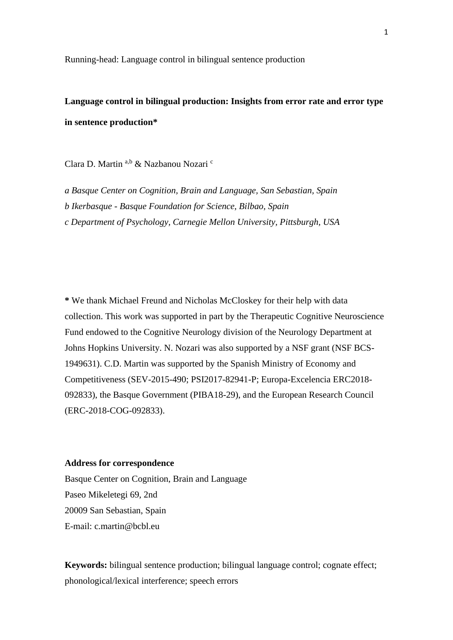Running-head: Language control in bilingual sentence production

**Language control in bilingual production: Insights from error rate and error type in sentence production\***

Clara D. Martin a,b & Nazbanou Nozari <sup>c</sup>

*a Basque Center on Cognition, Brain and Language, San Sebastian, Spain b Ikerbasque - Basque Foundation for Science, Bilbao, Spain c Department of Psychology, Carnegie Mellon University, Pittsburgh, USA*

**\*** We thank Michael Freund and Nicholas McCloskey for their help with data collection. This work was supported in part by the Therapeutic Cognitive Neuroscience Fund endowed to the Cognitive Neurology division of the Neurology Department at Johns Hopkins University. N. Nozari was also supported by a NSF grant (NSF BCS-1949631). C.D. Martin was supported by the Spanish Ministry of Economy and Competitiveness (SEV-2015-490; PSI2017-82941-P; Europa-Excelencia ERC2018- 092833), the Basque Government (PIBA18-29), and the European Research Council (ERC-2018-COG-092833).

## **Address for correspondence**

Basque Center on Cognition, Brain and Language Paseo Mikeletegi 69, 2nd 20009 San Sebastian, Spain E-mail: c.martin@bcbl.eu

**Keywords:** bilingual sentence production; bilingual language control; cognate effect; phonological/lexical interference; speech errors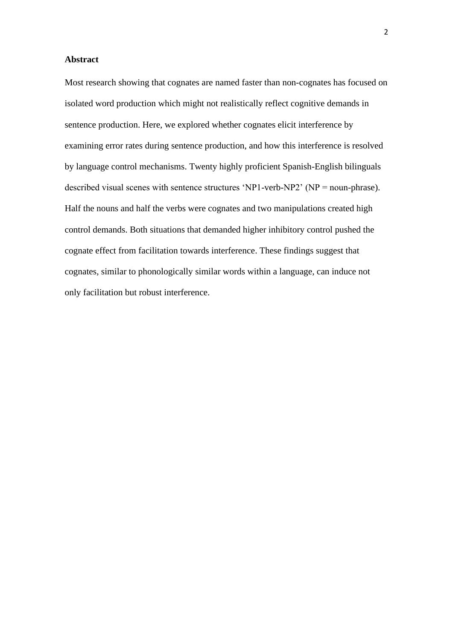## **Abstract**

Most research showing that cognates are named faster than non-cognates has focused on isolated word production which might not realistically reflect cognitive demands in sentence production. Here, we explored whether cognates elicit interference by examining error rates during sentence production, and how this interference is resolved by language control mechanisms. Twenty highly proficient Spanish-English bilinguals described visual scenes with sentence structures 'NP1-verb-NP2' (NP = noun-phrase). Half the nouns and half the verbs were cognates and two manipulations created high control demands. Both situations that demanded higher inhibitory control pushed the cognate effect from facilitation towards interference. These findings suggest that cognates, similar to phonologically similar words within a language, can induce not only facilitation but robust interference.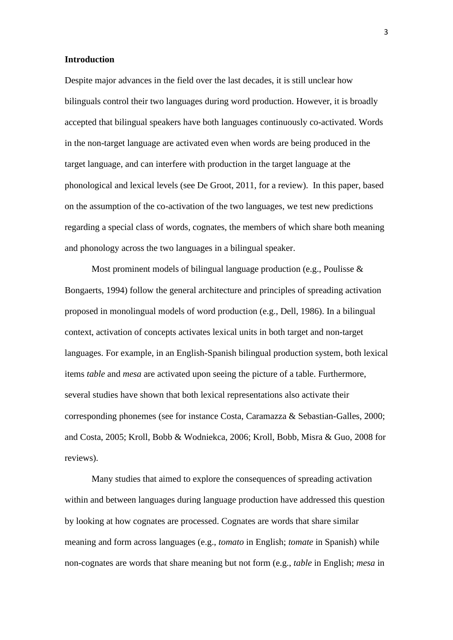#### **Introduction**

Despite major advances in the field over the last decades, it is still unclear how bilinguals control their two languages during word production. However, it is broadly accepted that bilingual speakers have both languages continuously co-activated. Words in the non-target language are activated even when words are being produced in the target language, and can interfere with production in the target language at the phonological and lexical levels (see De Groot, 2011, for a review). In this paper, based on the assumption of the co-activation of the two languages, we test new predictions regarding a special class of words, cognates, the members of which share both meaning and phonology across the two languages in a bilingual speaker.

Most prominent models of bilingual language production (e.g., Poulisse & Bongaerts, 1994) follow the general architecture and principles of spreading activation proposed in monolingual models of word production (e.g., Dell, 1986). In a bilingual context, activation of concepts activates lexical units in both target and non-target languages. For example, in an English-Spanish bilingual production system, both lexical items *table* and *mesa* are activated upon seeing the picture of a table. Furthermore, several studies have shown that both lexical representations also activate their corresponding phonemes (see for instance Costa, Caramazza & Sebastian-Galles, 2000; and Costa, 2005; Kroll, Bobb & Wodniekca, 2006; Kroll, Bobb, Misra & Guo, 2008 for reviews).

Many studies that aimed to explore the consequences of spreading activation within and between languages during language production have addressed this question by looking at how cognates are processed. Cognates are words that share similar meaning and form across languages (e.g., *tomato* in English; *tomate* in Spanish) while non-cognates are words that share meaning but not form (e.g., *table* in English; *mesa* in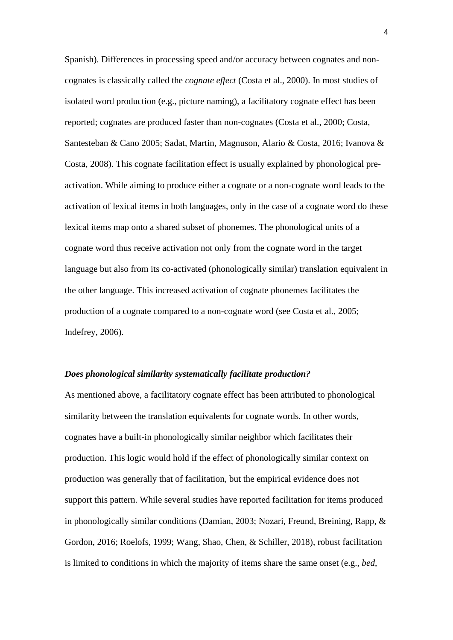Spanish). Differences in processing speed and/or accuracy between cognates and noncognates is classically called the *cognate effect* (Costa et al., 2000). In most studies of isolated word production (e.g., picture naming), a facilitatory cognate effect has been reported; cognates are produced faster than non-cognates (Costa et al., 2000; Costa, Santesteban & Cano 2005; Sadat, Martin, Magnuson, Alario & Costa, 2016; Ivanova & Costa, 2008). This cognate facilitation effect is usually explained by phonological preactivation. While aiming to produce either a cognate or a non-cognate word leads to the activation of lexical items in both languages, only in the case of a cognate word do these lexical items map onto a shared subset of phonemes. The phonological units of a cognate word thus receive activation not only from the cognate word in the target language but also from its co-activated (phonologically similar) translation equivalent in the other language. This increased activation of cognate phonemes facilitates the production of a cognate compared to a non-cognate word (see Costa et al., 2005; Indefrey, 2006).

#### *Does phonological similarity systematically facilitate production?*

As mentioned above, a facilitatory cognate effect has been attributed to phonological similarity between the translation equivalents for cognate words. In other words, cognates have a built-in phonologically similar neighbor which facilitates their production. This logic would hold if the effect of phonologically similar context on production was generally that of facilitation, but the empirical evidence does not support this pattern. While several studies have reported facilitation for items produced in phonologically similar conditions (Damian, 2003; Nozari, Freund, Breining, Rapp, & Gordon, 2016; Roelofs, 1999; Wang, Shao, Chen, & Schiller, 2018), robust facilitation is limited to conditions in which the majority of items share the same onset (e.g., *bed*,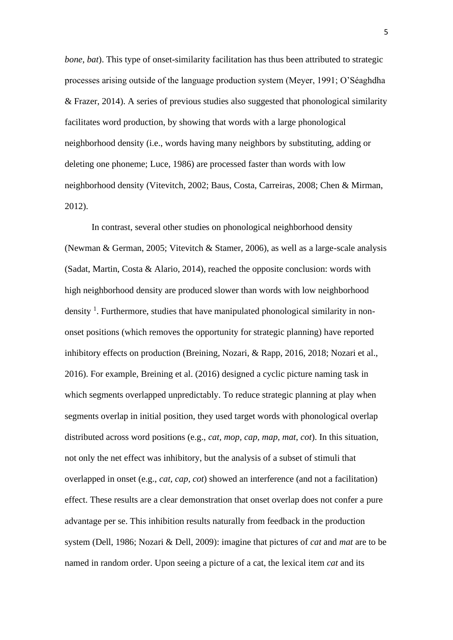*bone*, *bat*). This type of onset-similarity facilitation has thus been attributed to strategic processes arising outside of the language production system (Meyer, 1991; O'Séaghdha & Frazer, 2014). A series of previous studies also suggested that phonological similarity facilitates word production, by showing that words with a large phonological neighborhood density (i.e., words having many neighbors by substituting, adding or deleting one phoneme; Luce, 1986) are processed faster than words with low neighborhood density (Vitevitch, 2002; Baus, Costa, Carreiras, 2008; Chen & Mirman, 2012).

In contrast, several other studies on phonological neighborhood density (Newman & German, 2005; Vitevitch & Stamer, 2006), as well as a large-scale analysis (Sadat, Martin, Costa & Alario, 2014), reached the opposite conclusion: words with high neighborhood density are produced slower than words with low neighborhood density<sup>1</sup>. Furthermore, studies that have manipulated phonological similarity in nononset positions (which removes the opportunity for strategic planning) have reported inhibitory effects on production (Breining, Nozari, & Rapp, 2016, 2018; Nozari et al., 2016). For example, Breining et al. (2016) designed a cyclic picture naming task in which segments overlapped unpredictably. To reduce strategic planning at play when segments overlap in initial position, they used target words with phonological overlap distributed across word positions (e.g., *cat, mop, cap, map, mat, cot*). In this situation, not only the net effect was inhibitory, but the analysis of a subset of stimuli that overlapped in onset (e.g., *cat, cap, cot*) showed an interference (and not a facilitation) effect. These results are a clear demonstration that onset overlap does not confer a pure advantage per se. This inhibition results naturally from feedback in the production system (Dell, 1986; Nozari & Dell, 2009): imagine that pictures of *cat* and *mat* are to be named in random order. Upon seeing a picture of a cat, the lexical item *cat* and its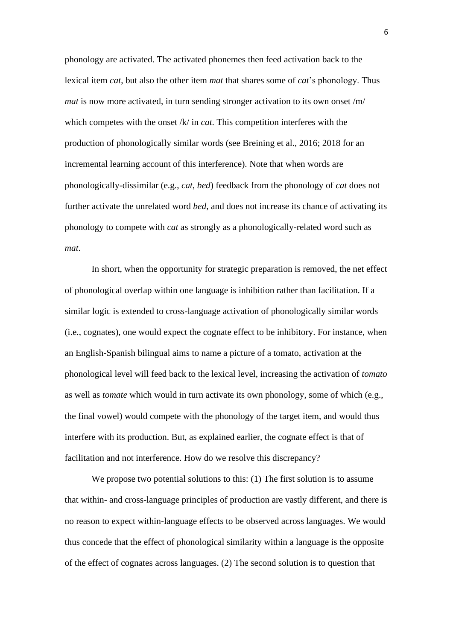phonology are activated. The activated phonemes then feed activation back to the lexical item *cat*, but also the other item *mat* that shares some of *cat*'s phonology. Thus *mat* is now more activated, in turn sending stronger activation to its own onset /m/ which competes with the onset /k/ in *cat*. This competition interferes with the production of phonologically similar words (see Breining et al., 2016; 2018 for an incremental learning account of this interference). Note that when words are phonologically-dissimilar (e.g., *cat*, *bed*) feedback from the phonology of *cat* does not further activate the unrelated word *bed*, and does not increase its chance of activating its phonology to compete with *cat* as strongly as a phonologically-related word such as *mat*.

In short, when the opportunity for strategic preparation is removed, the net effect of phonological overlap within one language is inhibition rather than facilitation. If a similar logic is extended to cross-language activation of phonologically similar words (i.e., cognates), one would expect the cognate effect to be inhibitory. For instance, when an English-Spanish bilingual aims to name a picture of a tomato, activation at the phonological level will feed back to the lexical level, increasing the activation of *tomato* as well as *tomate* which would in turn activate its own phonology, some of which (e.g., the final vowel) would compete with the phonology of the target item, and would thus interfere with its production. But, as explained earlier, the cognate effect is that of facilitation and not interference. How do we resolve this discrepancy?

We propose two potential solutions to this: (1) The first solution is to assume that within- and cross-language principles of production are vastly different, and there is no reason to expect within-language effects to be observed across languages. We would thus concede that the effect of phonological similarity within a language is the opposite of the effect of cognates across languages. (2) The second solution is to question that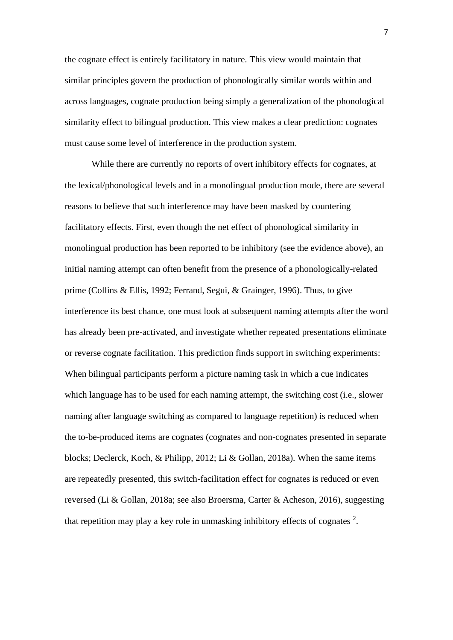the cognate effect is entirely facilitatory in nature. This view would maintain that similar principles govern the production of phonologically similar words within and across languages, cognate production being simply a generalization of the phonological similarity effect to bilingual production. This view makes a clear prediction: cognates must cause some level of interference in the production system.

While there are currently no reports of overt inhibitory effects for cognates, at the lexical/phonological levels and in a monolingual production mode, there are several reasons to believe that such interference may have been masked by countering facilitatory effects. First, even though the net effect of phonological similarity in monolingual production has been reported to be inhibitory (see the evidence above), an initial naming attempt can often benefit from the presence of a phonologically-related prime (Collins & Ellis, 1992; Ferrand, Segui, & Grainger, 1996). Thus, to give interference its best chance, one must look at subsequent naming attempts after the word has already been pre-activated, and investigate whether repeated presentations eliminate or reverse cognate facilitation. This prediction finds support in switching experiments: When bilingual participants perform a picture naming task in which a cue indicates which language has to be used for each naming attempt, the switching cost (i.e., slower naming after language switching as compared to language repetition) is reduced when the to-be-produced items are cognates (cognates and non-cognates presented in separate blocks; Declerck, Koch, & Philipp, 2012; Li & Gollan, 2018a). When the same items are repeatedly presented, this switch-facilitation effect for cognates is reduced or even reversed (Li & Gollan, 2018a; see also Broersma, Carter & Acheson, 2016), suggesting that repetition may play a key role in unmasking inhibitory effects of cognates  $2$ .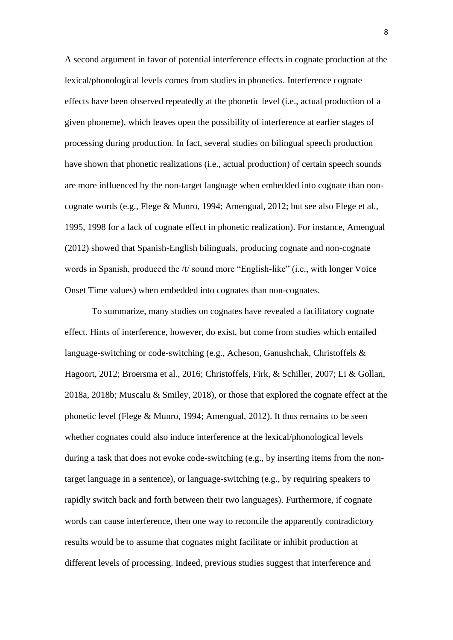A second argument in favor of potential interference effects in cognate production at the lexical/phonological levels comes from studies in phonetics. Interference cognate effects have been observed repeatedly at the phonetic level (i.e., actual production of a given phoneme), which leaves open the possibility of interference at earlier stages of processing during production. In fact, several studies on bilingual speech production have shown that phonetic realizations (i.e., actual production) of certain speech sounds are more influenced by the non-target language when embedded into cognate than noncognate words (e.g., Flege & Munro, 1994; Amengual, 2012; but see also Flege et al., 1995, 1998 for a lack of cognate effect in phonetic realization). For instance, Amengual (2012) showed that Spanish-English bilinguals, producing cognate and non-cognate words in Spanish, produced the /t/ sound more "English-like" (i.e., with longer Voice Onset Time values) when embedded into cognates than non-cognates.

To summarize, many studies on cognates have revealed a facilitatory cognate effect. Hints of interference, however, do exist, but come from studies which entailed language-switching or code-switching (e.g., Acheson, Ganushchak, Christoffels & Hagoort, 2012; Broersma et al., 2016; Christoffels, Firk, & Schiller, 2007; Li & Gollan, 2018a, 2018b; Muscalu & Smiley, 2018), or those that explored the cognate effect at the phonetic level (Flege & Munro, 1994; Amengual, 2012). It thus remains to be seen whether cognates could also induce interference at the lexical/phonological levels during a task that does not evoke code-switching (e.g., by inserting items from the nontarget language in a sentence), or language-switching (e.g., by requiring speakers to rapidly switch back and forth between their two languages). Furthermore, if cognate words can cause interference, then one way to reconcile the apparently contradictory results would be to assume that cognates might facilitate or inhibit production at different levels of processing. Indeed, previous studies suggest that interference and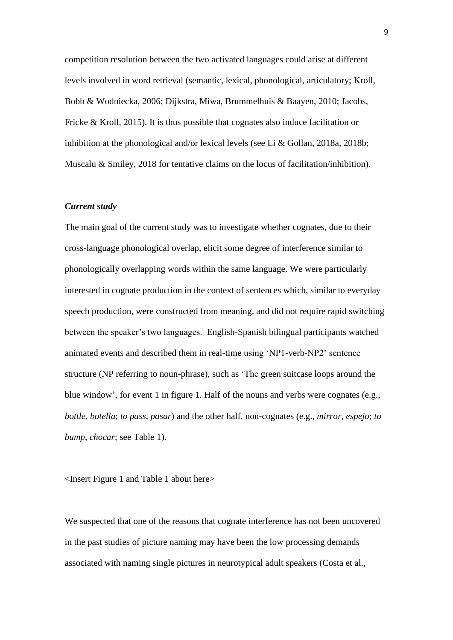competition resolution between the two activated languages could arise at different levels involved in word retrieval (semantic, lexical, phonological, articulatory; Kroll, Bobb & Wodniecka, 2006; Dijkstra, Miwa, Brummelhuis & Baayen, 2010; Jacobs, Fricke & Kroll, 2015). It is thus possible that cognates also induce facilitation or inhibition at the phonological and/or lexical levels (see Li & Gollan, 2018a, 2018b; Muscalu & Smiley, 2018 for tentative claims on the locus of facilitation/inhibition).

#### *Current study*

The main goal of the current study was to investigate whether cognates, due to their cross-language phonological overlap, elicit some degree of interference similar to phonologically overlapping words within the same language. We were particularly interested in cognate production in the context of sentences which, similar to everyday speech production, were constructed from meaning, and did not require rapid switching between the speaker's two languages. English-Spanish bilingual participants watched animated events and described them in real-time using 'NP1-verb-NP2' sentence structure (NP referring to noun-phrase), such as 'The green suitcase loops around the blue window', for event 1 in figure 1. Half of the nouns and verbs were cognates (e.g., *bottle*, *botella*; *to pass*, *pasar*) and the other half, non-cognates (e.g., *mirror*, *espejo*; *to bump*, *chocar*; see Table 1).

<Insert Figure 1 and Table 1 about here>

We suspected that one of the reasons that cognate interference has not been uncovered in the past studies of picture naming may have been the low processing demands associated with naming single pictures in neurotypical adult speakers (Costa et al.,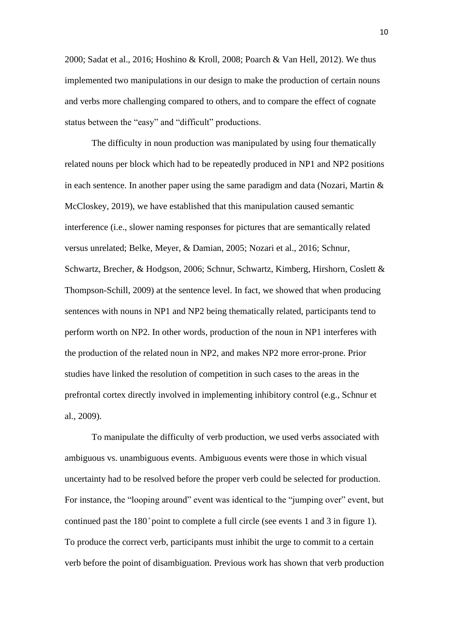2000; Sadat et al., 2016; Hoshino & Kroll, 2008; Poarch & Van Hell, 2012). We thus implemented two manipulations in our design to make the production of certain nouns and verbs more challenging compared to others, and to compare the effect of cognate status between the "easy" and "difficult" productions.

The difficulty in noun production was manipulated by using four thematically related nouns per block which had to be repeatedly produced in NP1 and NP2 positions in each sentence. In another paper using the same paradigm and data (Nozari, Martin  $\&$ McCloskey, 2019), we have established that this manipulation caused semantic interference (i.e., slower naming responses for pictures that are semantically related versus unrelated; Belke, Meyer, & Damian, 2005; Nozari et al., 2016; Schnur, Schwartz, Brecher, & Hodgson, 2006; Schnur, Schwartz, Kimberg, Hirshorn, Coslett & Thompson-Schill, 2009) at the sentence level. In fact, we showed that when producing sentences with nouns in NP1 and NP2 being thematically related, participants tend to perform worth on NP2. In other words, production of the noun in NP1 interferes with the production of the related noun in NP2, and makes NP2 more error-prone. Prior studies have linked the resolution of competition in such cases to the areas in the prefrontal cortex directly involved in implementing inhibitory control (e.g., Schnur et al., 2009).

To manipulate the difficulty of verb production, we used verbs associated with ambiguous vs. unambiguous events. Ambiguous events were those in which visual uncertainty had to be resolved before the proper verb could be selected for production. For instance, the "looping around" event was identical to the "jumping over" event, but continued past the 180° point to complete a full circle (see events 1 and 3 in figure 1). To produce the correct verb, participants must inhibit the urge to commit to a certain verb before the point of disambiguation. Previous work has shown that verb production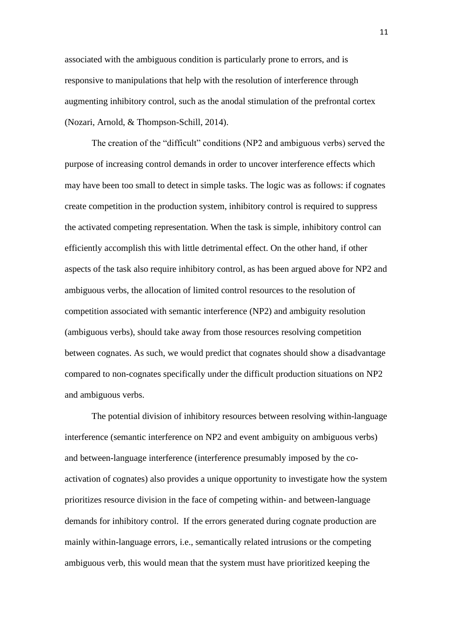associated with the ambiguous condition is particularly prone to errors, and is responsive to manipulations that help with the resolution of interference through augmenting inhibitory control, such as the anodal stimulation of the prefrontal cortex (Nozari, Arnold, & Thompson-Schill, 2014).

The creation of the "difficult" conditions (NP2 and ambiguous verbs) served the purpose of increasing control demands in order to uncover interference effects which may have been too small to detect in simple tasks. The logic was as follows: if cognates create competition in the production system, inhibitory control is required to suppress the activated competing representation. When the task is simple, inhibitory control can efficiently accomplish this with little detrimental effect. On the other hand, if other aspects of the task also require inhibitory control, as has been argued above for NP2 and ambiguous verbs, the allocation of limited control resources to the resolution of competition associated with semantic interference (NP2) and ambiguity resolution (ambiguous verbs), should take away from those resources resolving competition between cognates. As such, we would predict that cognates should show a disadvantage compared to non-cognates specifically under the difficult production situations on NP2 and ambiguous verbs.

The potential division of inhibitory resources between resolving within-language interference (semantic interference on NP2 and event ambiguity on ambiguous verbs) and between-language interference (interference presumably imposed by the coactivation of cognates) also provides a unique opportunity to investigate how the system prioritizes resource division in the face of competing within- and between-language demands for inhibitory control. If the errors generated during cognate production are mainly within-language errors, i.e., semantically related intrusions or the competing ambiguous verb, this would mean that the system must have prioritized keeping the

11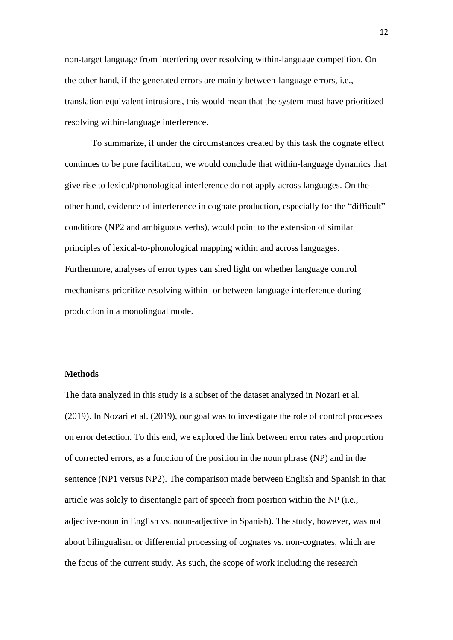non-target language from interfering over resolving within-language competition. On the other hand, if the generated errors are mainly between-language errors, i.e., translation equivalent intrusions, this would mean that the system must have prioritized resolving within-language interference.

To summarize, if under the circumstances created by this task the cognate effect continues to be pure facilitation, we would conclude that within-language dynamics that give rise to lexical/phonological interference do not apply across languages. On the other hand, evidence of interference in cognate production, especially for the "difficult" conditions (NP2 and ambiguous verbs), would point to the extension of similar principles of lexical-to-phonological mapping within and across languages. Furthermore, analyses of error types can shed light on whether language control mechanisms prioritize resolving within- or between-language interference during production in a monolingual mode.

#### **Methods**

The data analyzed in this study is a subset of the dataset analyzed in Nozari et al. (2019). In Nozari et al. (2019), our goal was to investigate the role of control processes on error detection. To this end, we explored the link between error rates and proportion of corrected errors, as a function of the position in the noun phrase (NP) and in the sentence (NP1 versus NP2). The comparison made between English and Spanish in that article was solely to disentangle part of speech from position within the NP (i.e., adjective-noun in English vs. noun-adjective in Spanish). The study, however, was not about bilingualism or differential processing of cognates vs. non-cognates, which are the focus of the current study. As such, the scope of work including the research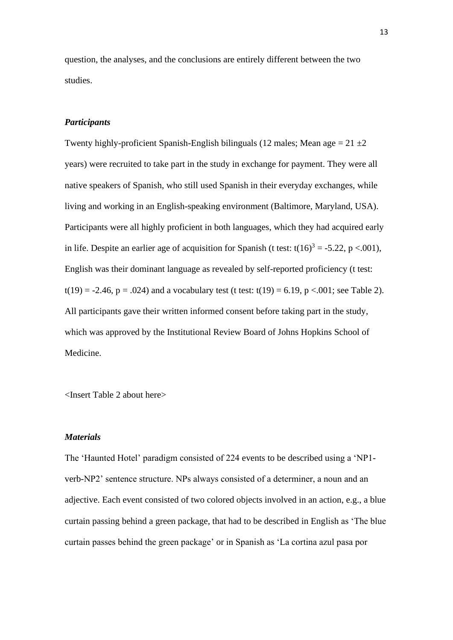question, the analyses, and the conclusions are entirely different between the two studies.

## *Participants*

Twenty highly-proficient Spanish-English bilinguals (12 males; Mean age  $= 21 \pm 2$ ) years) were recruited to take part in the study in exchange for payment. They were all native speakers of Spanish, who still used Spanish in their everyday exchanges, while living and working in an English-speaking environment (Baltimore, Maryland, USA). Participants were all highly proficient in both languages, which they had acquired early in life. Despite an earlier age of acquisition for Spanish (t test:  $t(16)^3 = -5.22$ , p <.001), English was their dominant language as revealed by self-reported proficiency (t test:  $t(19) = -2.46$ ,  $p = .024$ ) and a vocabulary test (t test:  $t(19) = 6.19$ ,  $p < .001$ ; see Table 2). All participants gave their written informed consent before taking part in the study, which was approved by the Institutional Review Board of Johns Hopkins School of Medicine.

<Insert Table 2 about here>

#### *Materials*

The 'Haunted Hotel' paradigm consisted of 224 events to be described using a 'NP1 verb-NP2' sentence structure. NPs always consisted of a determiner, a noun and an adjective. Each event consisted of two colored objects involved in an action, e.g., a blue curtain passing behind a green package, that had to be described in English as 'The blue curtain passes behind the green package' or in Spanish as 'La cortina azul pasa por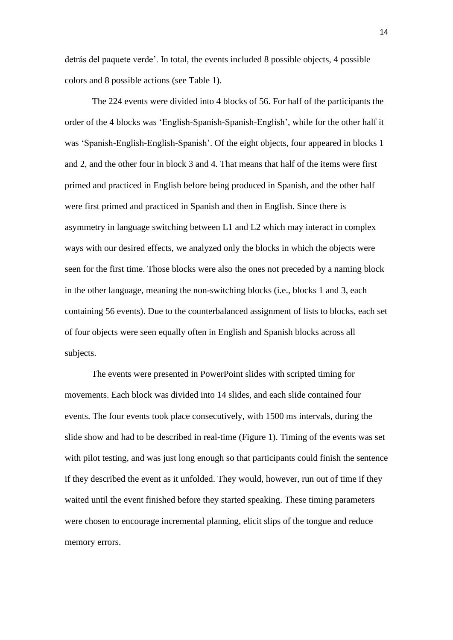detrás del paquete verde'. In total, the events included 8 possible objects, 4 possible colors and 8 possible actions (see Table 1).

The 224 events were divided into 4 blocks of 56. For half of the participants the order of the 4 blocks was 'English-Spanish-Spanish-English', while for the other half it was 'Spanish-English-English-Spanish'. Of the eight objects, four appeared in blocks 1 and 2, and the other four in block 3 and 4. That means that half of the items were first primed and practiced in English before being produced in Spanish, and the other half were first primed and practiced in Spanish and then in English. Since there is asymmetry in language switching between L1 and L2 which may interact in complex ways with our desired effects, we analyzed only the blocks in which the objects were seen for the first time. Those blocks were also the ones not preceded by a naming block in the other language, meaning the non-switching blocks (i.e., blocks 1 and 3, each containing 56 events). Due to the counterbalanced assignment of lists to blocks, each set of four objects were seen equally often in English and Spanish blocks across all subjects.

The events were presented in PowerPoint slides with scripted timing for movements. Each block was divided into 14 slides, and each slide contained four events. The four events took place consecutively, with 1500 ms intervals, during the slide show and had to be described in real-time (Figure 1). Timing of the events was set with pilot testing, and was just long enough so that participants could finish the sentence if they described the event as it unfolded. They would, however, run out of time if they waited until the event finished before they started speaking. These timing parameters were chosen to encourage incremental planning, elicit slips of the tongue and reduce memory errors.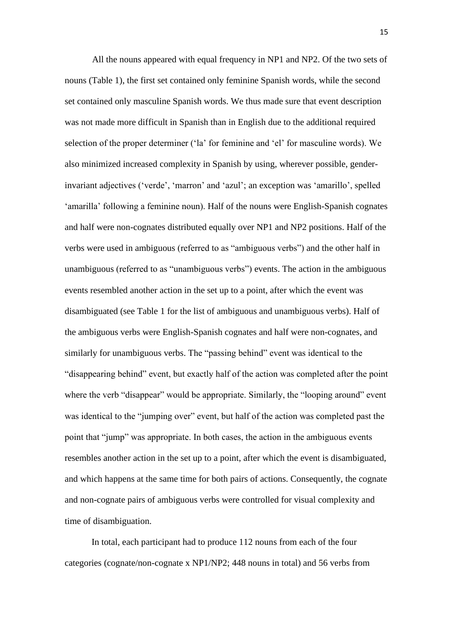All the nouns appeared with equal frequency in NP1 and NP2. Of the two sets of nouns (Table 1), the first set contained only feminine Spanish words, while the second set contained only masculine Spanish words. We thus made sure that event description was not made more difficult in Spanish than in English due to the additional required selection of the proper determiner ('la' for feminine and 'el' for masculine words). We also minimized increased complexity in Spanish by using, wherever possible, genderinvariant adjectives ('verde', 'marron' and 'azul'; an exception was 'amarillo', spelled 'amarilla' following a feminine noun). Half of the nouns were English-Spanish cognates and half were non-cognates distributed equally over NP1 and NP2 positions. Half of the verbs were used in ambiguous (referred to as "ambiguous verbs") and the other half in unambiguous (referred to as "unambiguous verbs") events. The action in the ambiguous events resembled another action in the set up to a point, after which the event was disambiguated (see Table 1 for the list of ambiguous and unambiguous verbs). Half of the ambiguous verbs were English-Spanish cognates and half were non-cognates, and similarly for unambiguous verbs. The "passing behind" event was identical to the "disappearing behind" event, but exactly half of the action was completed after the point where the verb "disappear" would be appropriate. Similarly, the "looping around" event was identical to the "jumping over" event, but half of the action was completed past the point that "jump" was appropriate. In both cases, the action in the ambiguous events resembles another action in the set up to a point, after which the event is disambiguated, and which happens at the same time for both pairs of actions. Consequently, the cognate and non-cognate pairs of ambiguous verbs were controlled for visual complexity and time of disambiguation.

In total, each participant had to produce 112 nouns from each of the four categories (cognate/non-cognate x NP1/NP2; 448 nouns in total) and 56 verbs from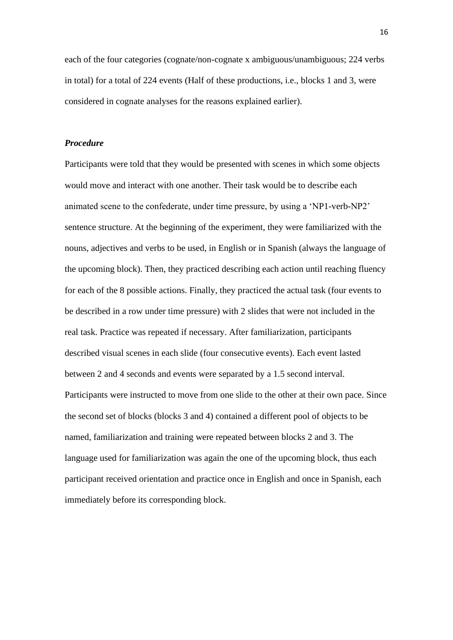each of the four categories (cognate/non-cognate x ambiguous/unambiguous; 224 verbs in total) for a total of 224 events (Half of these productions, i.e., blocks 1 and 3, were considered in cognate analyses for the reasons explained earlier).

### *Procedure*

Participants were told that they would be presented with scenes in which some objects would move and interact with one another. Their task would be to describe each animated scene to the confederate, under time pressure, by using a 'NP1-verb-NP2' sentence structure. At the beginning of the experiment, they were familiarized with the nouns, adjectives and verbs to be used, in English or in Spanish (always the language of the upcoming block). Then, they practiced describing each action until reaching fluency for each of the 8 possible actions. Finally, they practiced the actual task (four events to be described in a row under time pressure) with 2 slides that were not included in the real task. Practice was repeated if necessary. After familiarization, participants described visual scenes in each slide (four consecutive events). Each event lasted between 2 and 4 seconds and events were separated by a 1.5 second interval. Participants were instructed to move from one slide to the other at their own pace. Since the second set of blocks (blocks 3 and 4) contained a different pool of objects to be named, familiarization and training were repeated between blocks 2 and 3. The language used for familiarization was again the one of the upcoming block, thus each participant received orientation and practice once in English and once in Spanish, each immediately before its corresponding block.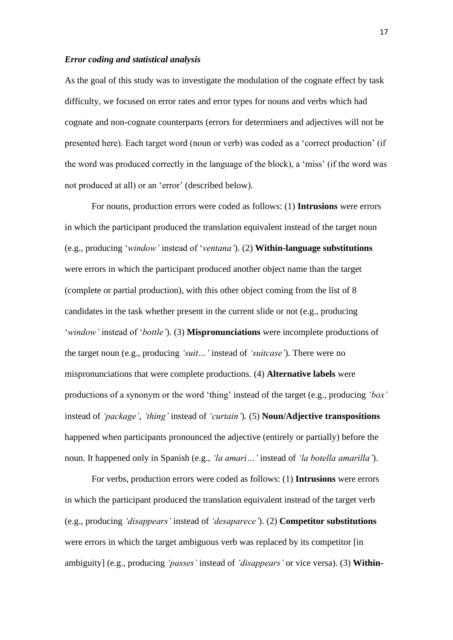## *Error coding and statistical analysis*

As the goal of this study was to investigate the modulation of the cognate effect by task difficulty, we focused on error rates and error types for nouns and verbs which had cognate and non-cognate counterparts (errors for determiners and adjectives will not be presented here). Each target word (noun or verb) was coded as a 'correct production' (if the word was produced correctly in the language of the block), a 'miss' (if the word was not produced at all) or an 'error' (described below).

For nouns, production errors were coded as follows: (1) **Intrusions** were errors in which the participant produced the translation equivalent instead of the target noun (e.g., producing '*window'* instead of '*ventana'*). (2) **Within-language substitutions** were errors in which the participant produced another object name than the target (complete or partial production), with this other object coming from the list of 8 candidates in the task whether present in the current slide or not (e.g., producing '*window'* instead of '*bottle'*). (3) **Mispronunciations** were incomplete productions of the target noun (e.g., producing *'suit…'* instead of *'suitcase'*). There were no mispronunciations that were complete productions. (4) **Alternative labels** were productions of a synonym or the word 'thing' instead of the target (e.g., producing *'box'* instead of *'package'*, *'thing'* instead of *'curtain'*). (5) **Noun/Adjective transpositions**  happened when participants pronounced the adjective (entirely or partially) before the noun. It happened only in Spanish (e.g., *'la amari…'* instead of *'la botella amarilla'*).

For verbs, production errors were coded as follows: (1) **Intrusions** were errors in which the participant produced the translation equivalent instead of the target verb (e.g., producing *'disappears'* instead of *'desaparece'*). (2) **Competitor substitutions** were errors in which the target ambiguous verb was replaced by its competitor [in ambiguity] (e.g., producing *'passes'* instead of *'disappears'* or vice versa). (3) **Within-**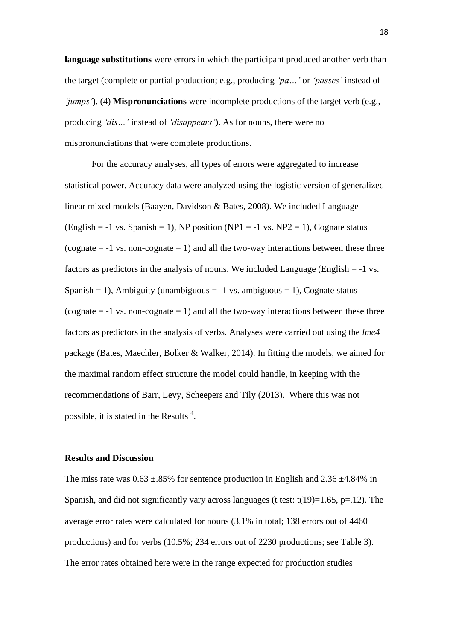**language substitutions** were errors in which the participant produced another verb than the target (complete or partial production; e.g., producing *'pa…'* or *'passes'* instead of *'jumps'*). (4) **Mispronunciations** were incomplete productions of the target verb (e.g., producing *'dis…'* instead of *'disappears'*). As for nouns, there were no mispronunciations that were complete productions.

For the accuracy analyses, all types of errors were aggregated to increase statistical power. Accuracy data were analyzed using the logistic version of generalized linear mixed models (Baayen, Davidson & Bates, 2008). We included Language (English = -1 vs. Spanish = 1), NP position (NP1 = -1 vs. NP2 = 1), Cognate status (cognate  $= -1$  vs. non-cognate  $= 1$ ) and all the two-way interactions between these three factors as predictors in the analysis of nouns. We included Language (English  $= -1$  vs. Spanish = 1), Ambiguity (unambiguous =  $-1$  vs. ambiguous = 1), Cognate status (cognate  $= -1$  vs. non-cognate  $= 1$ ) and all the two-way interactions between these three factors as predictors in the analysis of verbs. Analyses were carried out using the *lme4* package (Bates, Maechler, Bolker & Walker, 2014). In fitting the models, we aimed for the maximal random effect structure the model could handle, in keeping with the recommendations of Barr, Levy, Scheepers and Tily (2013). Where this was not possible, it is stated in the Results  $4$ .

#### **Results and Discussion**

The miss rate was  $0.63 \pm .85\%$  for sentence production in English and  $2.36 \pm .484\%$  in Spanish, and did not significantly vary across languages (t test:  $t(19)=1.65$ ,  $p=.12$ ). The average error rates were calculated for nouns (3.1% in total; 138 errors out of 4460 productions) and for verbs (10.5%; 234 errors out of 2230 productions; see Table 3). The error rates obtained here were in the range expected for production studies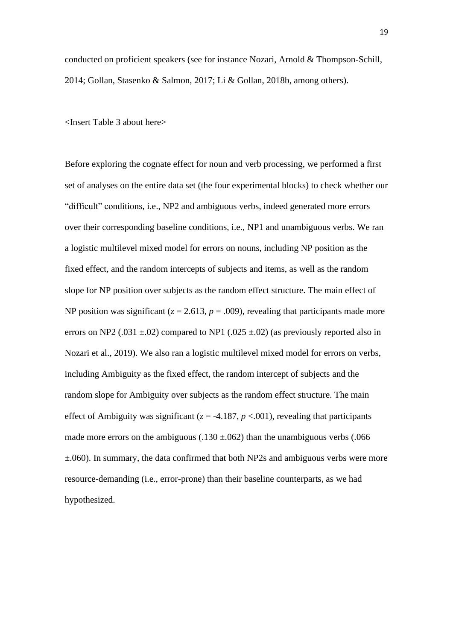conducted on proficient speakers (see for instance Nozari, Arnold & Thompson-Schill, 2014; Gollan, Stasenko & Salmon, 2017; Li & Gollan, 2018b, among others).

<Insert Table 3 about here>

Before exploring the cognate effect for noun and verb processing, we performed a first set of analyses on the entire data set (the four experimental blocks) to check whether our "difficult" conditions, i.e., NP2 and ambiguous verbs, indeed generated more errors over their corresponding baseline conditions, i.e., NP1 and unambiguous verbs. We ran a logistic multilevel mixed model for errors on nouns, including NP position as the fixed effect, and the random intercepts of subjects and items, as well as the random slope for NP position over subjects as the random effect structure. The main effect of NP position was significant ( $z = 2.613$ ,  $p = .009$ ), revealing that participants made more errors on NP2 (.031  $\pm$ .02) compared to NP1 (.025  $\pm$ .02) (as previously reported also in Nozari et al., 2019). We also ran a logistic multilevel mixed model for errors on verbs, including Ambiguity as the fixed effect, the random intercept of subjects and the random slope for Ambiguity over subjects as the random effect structure. The main effect of Ambiguity was significant ( $z = -4.187$ ,  $p < .001$ ), revealing that participants made more errors on the ambiguous (.130  $\pm$ .062) than the unambiguous verbs (.066 ±.060). In summary, the data confirmed that both NP2s and ambiguous verbs were more resource-demanding (i.e., error-prone) than their baseline counterparts, as we had hypothesized.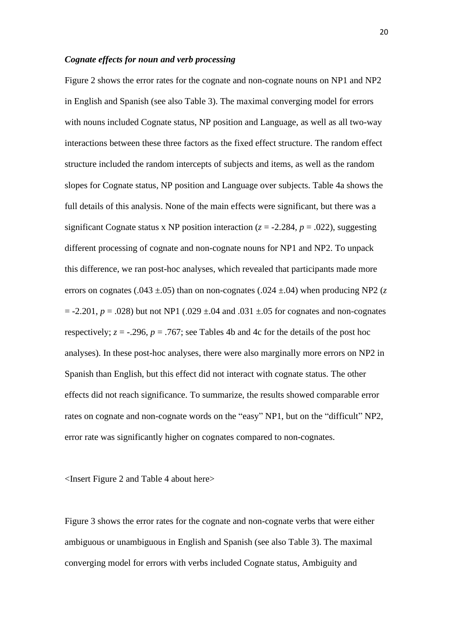### *Cognate effects for noun and verb processing*

Figure 2 shows the error rates for the cognate and non-cognate nouns on NP1 and NP2 in English and Spanish (see also Table 3). The maximal converging model for errors with nouns included Cognate status, NP position and Language, as well as all two-way interactions between these three factors as the fixed effect structure. The random effect structure included the random intercepts of subjects and items, as well as the random slopes for Cognate status, NP position and Language over subjects. Table 4a shows the full details of this analysis. None of the main effects were significant, but there was a significant Cognate status x NP position interaction ( $z = -2.284$ ,  $p = .022$ ), suggesting different processing of cognate and non-cognate nouns for NP1 and NP2. To unpack this difference, we ran post-hoc analyses, which revealed that participants made more errors on cognates (.043  $\pm$ .05) than on non-cognates (.024  $\pm$ .04) when producing NP2 (*z*  $= -2.201, p = .028$ ) but not NP1 (.029  $\pm$ .04 and .031  $\pm$ .05 for cognates and non-cognates respectively;  $z = -0.296$ ,  $p = 0.767$ ; see Tables 4b and 4c for the details of the post hoc analyses). In these post-hoc analyses, there were also marginally more errors on NP2 in Spanish than English, but this effect did not interact with cognate status. The other effects did not reach significance. To summarize, the results showed comparable error rates on cognate and non-cognate words on the "easy" NP1, but on the "difficult" NP2, error rate was significantly higher on cognates compared to non-cognates.

<Insert Figure 2 and Table 4 about here>

Figure 3 shows the error rates for the cognate and non-cognate verbs that were either ambiguous or unambiguous in English and Spanish (see also Table 3). The maximal converging model for errors with verbs included Cognate status, Ambiguity and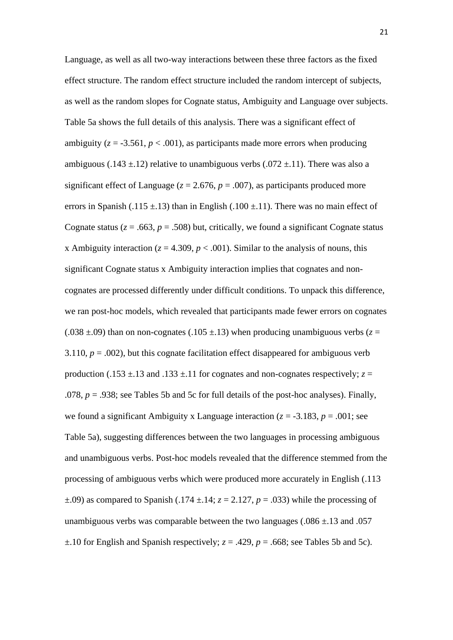Language, as well as all two-way interactions between these three factors as the fixed effect structure. The random effect structure included the random intercept of subjects, as well as the random slopes for Cognate status, Ambiguity and Language over subjects. Table 5a shows the full details of this analysis. There was a significant effect of ambiguity ( $z = -3.561$ ,  $p < .001$ ), as participants made more errors when producing ambiguous (.143  $\pm$ .12) relative to unambiguous verbs (.072  $\pm$ .11). There was also a significant effect of Language ( $z = 2.676$ ,  $p = .007$ ), as participants produced more errors in Spanish (.115  $\pm$ .13) than in English (.100  $\pm$ .11). There was no main effect of Cognate status ( $z = .663$ ,  $p = .508$ ) but, critically, we found a significant Cognate status x Ambiguity interaction ( $z = 4.309$ ,  $p < .001$ ). Similar to the analysis of nouns, this significant Cognate status x Ambiguity interaction implies that cognates and noncognates are processed differently under difficult conditions. To unpack this difference, we ran post-hoc models, which revealed that participants made fewer errors on cognates (.038  $\pm$ .09) than on non-cognates (.105  $\pm$ .13) when producing unambiguous verbs ( $z =$ 3.110,  $p = .002$ ), but this cognate facilitation effect disappeared for ambiguous verb production (.153  $\pm$ .13 and .133  $\pm$ .11 for cognates and non-cognates respectively;  $z =$ .078, *p* = .938; see Tables 5b and 5c for full details of the post-hoc analyses). Finally, we found a significant Ambiguity x Language interaction  $(z = -3.183, p = .001$ ; see Table 5a), suggesting differences between the two languages in processing ambiguous and unambiguous verbs. Post-hoc models revealed that the difference stemmed from the processing of ambiguous verbs which were produced more accurately in English (.113  $\pm$ .09) as compared to Spanish (.174  $\pm$ .14;  $z = 2.127$ ,  $p = .033$ ) while the processing of unambiguous verbs was comparable between the two languages ( $.086 \pm .13$  and  $.057$ )  $\pm$ .10 for English and Spanish respectively;  $z = .429$ ,  $p = .668$ ; see Tables 5b and 5c).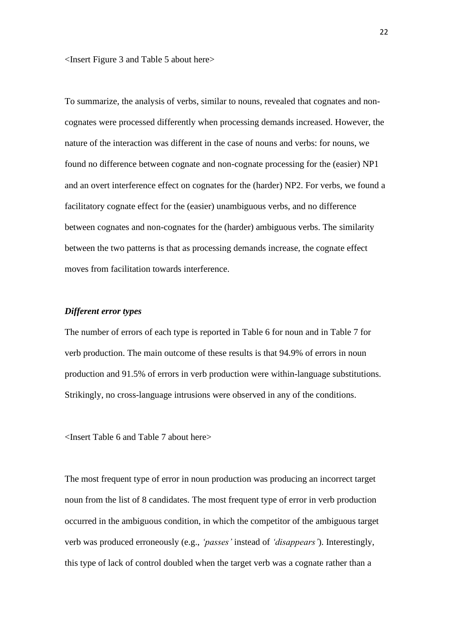<Insert Figure 3 and Table 5 about here>

To summarize, the analysis of verbs, similar to nouns, revealed that cognates and noncognates were processed differently when processing demands increased. However, the nature of the interaction was different in the case of nouns and verbs: for nouns, we found no difference between cognate and non-cognate processing for the (easier) NP1 and an overt interference effect on cognates for the (harder) NP2. For verbs, we found a facilitatory cognate effect for the (easier) unambiguous verbs, and no difference between cognates and non-cognates for the (harder) ambiguous verbs. The similarity between the two patterns is that as processing demands increase, the cognate effect moves from facilitation towards interference.

# *Different error types*

The number of errors of each type is reported in Table 6 for noun and in Table 7 for verb production. The main outcome of these results is that 94.9% of errors in noun production and 91.5% of errors in verb production were within-language substitutions. Strikingly, no cross-language intrusions were observed in any of the conditions.

<Insert Table 6 and Table 7 about here>

The most frequent type of error in noun production was producing an incorrect target noun from the list of 8 candidates. The most frequent type of error in verb production occurred in the ambiguous condition, in which the competitor of the ambiguous target verb was produced erroneously (e.g., *'passes'* instead of *'disappears'*). Interestingly, this type of lack of control doubled when the target verb was a cognate rather than a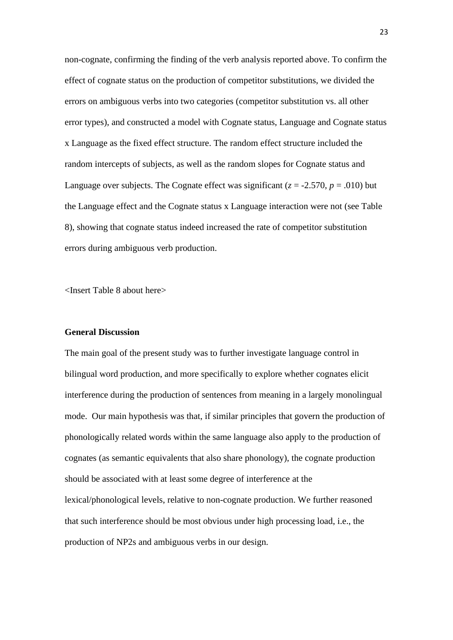non-cognate, confirming the finding of the verb analysis reported above. To confirm the effect of cognate status on the production of competitor substitutions, we divided the errors on ambiguous verbs into two categories (competitor substitution vs. all other error types), and constructed a model with Cognate status, Language and Cognate status x Language as the fixed effect structure. The random effect structure included the random intercepts of subjects, as well as the random slopes for Cognate status and Language over subjects. The Cognate effect was significant ( $z = -2.570$ ,  $p = .010$ ) but the Language effect and the Cognate status x Language interaction were not (see Table 8), showing that cognate status indeed increased the rate of competitor substitution errors during ambiguous verb production.

<Insert Table 8 about here>

# **General Discussion**

The main goal of the present study was to further investigate language control in bilingual word production, and more specifically to explore whether cognates elicit interference during the production of sentences from meaning in a largely monolingual mode. Our main hypothesis was that, if similar principles that govern the production of phonologically related words within the same language also apply to the production of cognates (as semantic equivalents that also share phonology), the cognate production should be associated with at least some degree of interference at the lexical/phonological levels, relative to non-cognate production. We further reasoned that such interference should be most obvious under high processing load, i.e., the production of NP2s and ambiguous verbs in our design.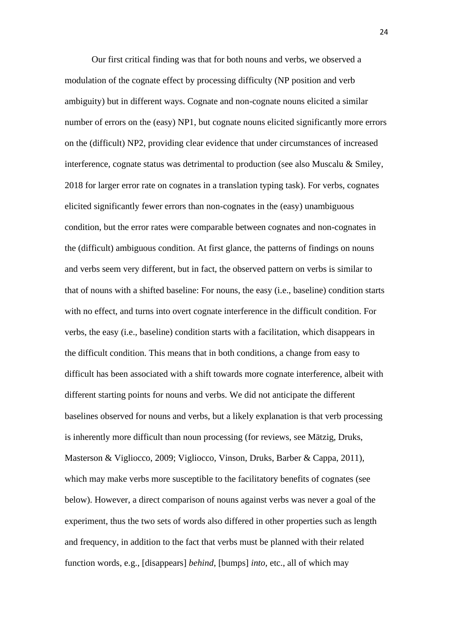Our first critical finding was that for both nouns and verbs, we observed a modulation of the cognate effect by processing difficulty (NP position and verb ambiguity) but in different ways. Cognate and non-cognate nouns elicited a similar number of errors on the (easy) NP1, but cognate nouns elicited significantly more errors on the (difficult) NP2, providing clear evidence that under circumstances of increased interference, cognate status was detrimental to production (see also Muscalu & Smiley, 2018 for larger error rate on cognates in a translation typing task). For verbs, cognates elicited significantly fewer errors than non-cognates in the (easy) unambiguous condition, but the error rates were comparable between cognates and non-cognates in the (difficult) ambiguous condition. At first glance, the patterns of findings on nouns and verbs seem very different, but in fact, the observed pattern on verbs is similar to that of nouns with a shifted baseline: For nouns, the easy (i.e., baseline) condition starts with no effect, and turns into overt cognate interference in the difficult condition. For verbs, the easy (i.e., baseline) condition starts with a facilitation, which disappears in the difficult condition. This means that in both conditions, a change from easy to difficult has been associated with a shift towards more cognate interference, albeit with different starting points for nouns and verbs. We did not anticipate the different baselines observed for nouns and verbs, but a likely explanation is that verb processing is inherently more difficult than noun processing (for reviews, see Mätzig, Druks, Masterson & Vigliocco, 2009; Vigliocco, Vinson, Druks, Barber & Cappa, 2011), which may make verbs more susceptible to the facilitatory benefits of cognates (see below). However, a direct comparison of nouns against verbs was never a goal of the experiment, thus the two sets of words also differed in other properties such as length and frequency, in addition to the fact that verbs must be planned with their related function words, e.g., [disappears] *behind*, [bumps] *into*, etc., all of which may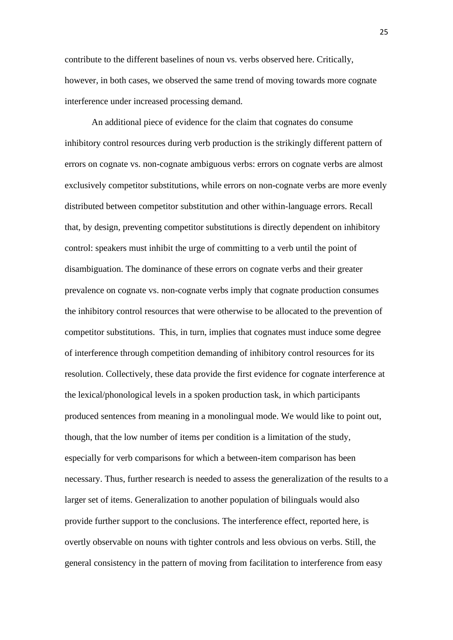contribute to the different baselines of noun vs. verbs observed here. Critically, however, in both cases, we observed the same trend of moving towards more cognate interference under increased processing demand.

An additional piece of evidence for the claim that cognates do consume inhibitory control resources during verb production is the strikingly different pattern of errors on cognate vs. non-cognate ambiguous verbs: errors on cognate verbs are almost exclusively competitor substitutions, while errors on non-cognate verbs are more evenly distributed between competitor substitution and other within-language errors. Recall that, by design, preventing competitor substitutions is directly dependent on inhibitory control: speakers must inhibit the urge of committing to a verb until the point of disambiguation. The dominance of these errors on cognate verbs and their greater prevalence on cognate vs. non-cognate verbs imply that cognate production consumes the inhibitory control resources that were otherwise to be allocated to the prevention of competitor substitutions. This, in turn, implies that cognates must induce some degree of interference through competition demanding of inhibitory control resources for its resolution. Collectively, these data provide the first evidence for cognate interference at the lexical/phonological levels in a spoken production task, in which participants produced sentences from meaning in a monolingual mode. We would like to point out, though, that the low number of items per condition is a limitation of the study, especially for verb comparisons for which a between-item comparison has been necessary. Thus, further research is needed to assess the generalization of the results to a larger set of items. Generalization to another population of bilinguals would also provide further support to the conclusions. The interference effect, reported here, is overtly observable on nouns with tighter controls and less obvious on verbs. Still, the general consistency in the pattern of moving from facilitation to interference from easy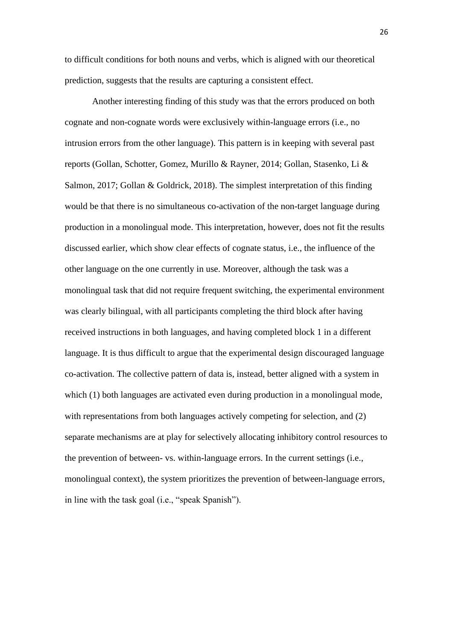to difficult conditions for both nouns and verbs, which is aligned with our theoretical prediction, suggests that the results are capturing a consistent effect.

Another interesting finding of this study was that the errors produced on both cognate and non-cognate words were exclusively within-language errors (i.e., no intrusion errors from the other language). This pattern is in keeping with several past reports (Gollan, Schotter, Gomez, Murillo & Rayner, 2014; Gollan, Stasenko, Li & Salmon, 2017; Gollan & Goldrick, 2018). The simplest interpretation of this finding would be that there is no simultaneous co-activation of the non-target language during production in a monolingual mode. This interpretation, however, does not fit the results discussed earlier, which show clear effects of cognate status, i.e., the influence of the other language on the one currently in use. Moreover, although the task was a monolingual task that did not require frequent switching, the experimental environment was clearly bilingual, with all participants completing the third block after having received instructions in both languages, and having completed block 1 in a different language. It is thus difficult to argue that the experimental design discouraged language co-activation. The collective pattern of data is, instead, better aligned with a system in which (1) both languages are activated even during production in a monolingual mode, with representations from both languages actively competing for selection, and (2) separate mechanisms are at play for selectively allocating inhibitory control resources to the prevention of between- vs. within-language errors. In the current settings (i.e., monolingual context), the system prioritizes the prevention of between-language errors, in line with the task goal (i.e., "speak Spanish").

26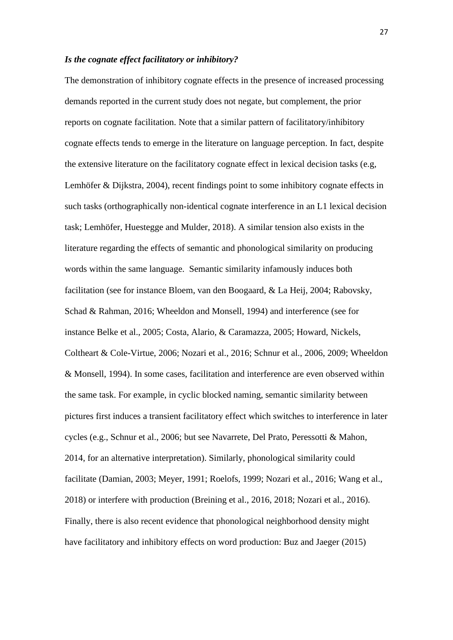### *Is the cognate effect facilitatory or inhibitory?*

The demonstration of inhibitory cognate effects in the presence of increased processing demands reported in the current study does not negate, but complement, the prior reports on cognate facilitation. Note that a similar pattern of facilitatory/inhibitory cognate effects tends to emerge in the literature on language perception. In fact, despite the extensive literature on the facilitatory cognate effect in lexical decision tasks (e.g, Lemhöfer & Dijkstra, 2004), recent findings point to some inhibitory cognate effects in such tasks (orthographically non-identical cognate interference in an L1 lexical decision task; Lemhöfer, Huestegge and Mulder, 2018). A similar tension also exists in the literature regarding the effects of semantic and phonological similarity on producing words within the same language. Semantic similarity infamously induces both facilitation (see for instance Bloem, van den Boogaard, & La Heij, 2004; Rabovsky, Schad & Rahman, 2016; Wheeldon and Monsell, 1994) and interference (see for instance Belke et al., 2005; Costa, Alario, & Caramazza, 2005; Howard, Nickels, Coltheart & Cole-Virtue, 2006; Nozari et al., 2016; Schnur et al., 2006, 2009; Wheeldon & Monsell, 1994). In some cases, facilitation and interference are even observed within the same task. For example, in cyclic blocked naming, semantic similarity between pictures first induces a transient facilitatory effect which switches to interference in later cycles (e.g., Schnur et al., 2006; but see Navarrete, Del Prato, Peressotti & Mahon, 2014, for an alternative interpretation). Similarly, phonological similarity could facilitate (Damian, 2003; Meyer, 1991; Roelofs, 1999; Nozari et al., 2016; Wang et al., 2018) or interfere with production (Breining et al., 2016, 2018; Nozari et al., 2016). Finally, there is also recent evidence that phonological neighborhood density might have facilitatory and inhibitory effects on word production: Buz and Jaeger (2015)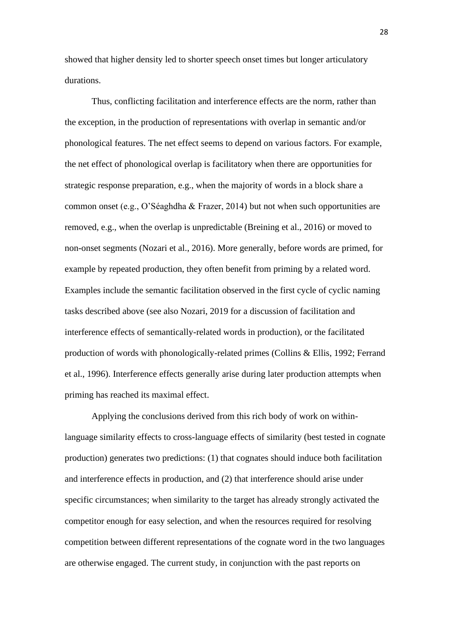showed that higher density led to shorter speech onset times but longer articulatory durations.

Thus, conflicting facilitation and interference effects are the norm, rather than the exception, in the production of representations with overlap in semantic and/or phonological features. The net effect seems to depend on various factors. For example, the net effect of phonological overlap is facilitatory when there are opportunities for strategic response preparation, e.g., when the majority of words in a block share a common onset (e.g., O'Séaghdha & Frazer, 2014) but not when such opportunities are removed, e.g., when the overlap is unpredictable (Breining et al., 2016) or moved to non-onset segments (Nozari et al., 2016). More generally, before words are primed, for example by repeated production, they often benefit from priming by a related word. Examples include the semantic facilitation observed in the first cycle of cyclic naming tasks described above (see also Nozari, 2019 for a discussion of facilitation and interference effects of semantically-related words in production), or the facilitated production of words with phonologically-related primes (Collins & Ellis, 1992; Ferrand et al., 1996). Interference effects generally arise during later production attempts when priming has reached its maximal effect.

Applying the conclusions derived from this rich body of work on withinlanguage similarity effects to cross-language effects of similarity (best tested in cognate production) generates two predictions: (1) that cognates should induce both facilitation and interference effects in production, and (2) that interference should arise under specific circumstances; when similarity to the target has already strongly activated the competitor enough for easy selection, and when the resources required for resolving competition between different representations of the cognate word in the two languages are otherwise engaged. The current study, in conjunction with the past reports on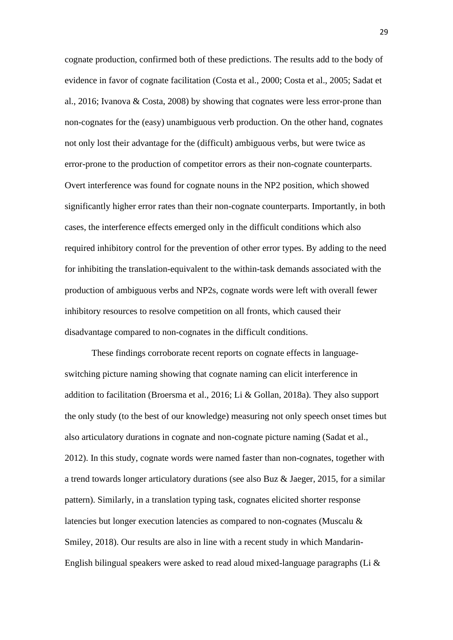cognate production, confirmed both of these predictions. The results add to the body of evidence in favor of cognate facilitation (Costa et al., 2000; Costa et al., 2005; Sadat et al., 2016; Ivanova & Costa, 2008) by showing that cognates were less error-prone than non-cognates for the (easy) unambiguous verb production. On the other hand, cognates not only lost their advantage for the (difficult) ambiguous verbs, but were twice as error-prone to the production of competitor errors as their non-cognate counterparts. Overt interference was found for cognate nouns in the NP2 position, which showed significantly higher error rates than their non-cognate counterparts. Importantly, in both cases, the interference effects emerged only in the difficult conditions which also required inhibitory control for the prevention of other error types. By adding to the need for inhibiting the translation-equivalent to the within-task demands associated with the production of ambiguous verbs and NP2s, cognate words were left with overall fewer inhibitory resources to resolve competition on all fronts, which caused their disadvantage compared to non-cognates in the difficult conditions.

These findings corroborate recent reports on cognate effects in languageswitching picture naming showing that cognate naming can elicit interference in addition to facilitation (Broersma et al., 2016; Li & Gollan, 2018a). They also support the only study (to the best of our knowledge) measuring not only speech onset times but also articulatory durations in cognate and non-cognate picture naming (Sadat et al., 2012). In this study, cognate words were named faster than non-cognates, together with a trend towards longer articulatory durations (see also Buz & Jaeger, 2015, for a similar pattern). Similarly, in a translation typing task, cognates elicited shorter response latencies but longer execution latencies as compared to non-cognates (Muscalu & Smiley, 2018). Our results are also in line with a recent study in which Mandarin-English bilingual speakers were asked to read aloud mixed-language paragraphs (Li &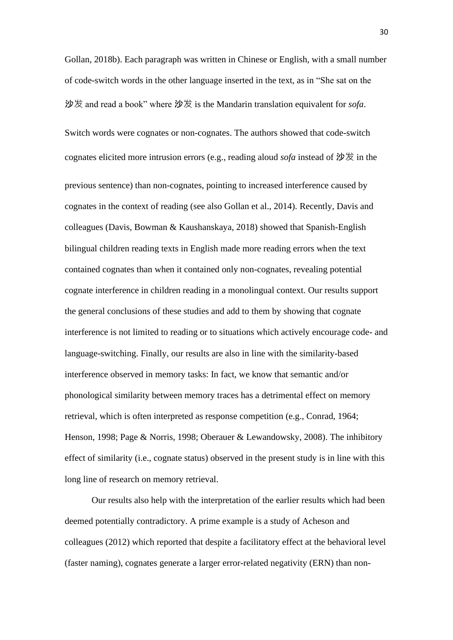Gollan, 2018b). Each paragraph was written in Chinese or English, with a small number of code-switch words in the other language inserted in the text, as in "She sat on the 沙发 and read a book" where 沙发 is the Mandarin translation equivalent for *sofa*. Switch words were cognates or non-cognates. The authors showed that code-switch cognates elicited more intrusion errors (e.g., reading aloud *sofa* instead of 沙发 in the previous sentence) than non-cognates, pointing to increased interference caused by cognates in the context of reading (see also Gollan et al., 2014). Recently, Davis and colleagues (Davis, Bowman & Kaushanskaya, 2018) showed that Spanish-English bilingual children reading texts in English made more reading errors when the text contained cognates than when it contained only non-cognates, revealing potential cognate interference in children reading in a monolingual context. Our results support the general conclusions of these studies and add to them by showing that cognate interference is not limited to reading or to situations which actively encourage code- and language-switching. Finally, our results are also in line with the similarity-based interference observed in memory tasks: In fact, we know that semantic and/or phonological similarity between memory traces has a detrimental effect on memory retrieval, which is often interpreted as response competition (e.g., Conrad, 1964; Henson, 1998; Page & Norris, 1998; Oberauer & Lewandowsky, 2008). The inhibitory effect of similarity (i.e., cognate status) observed in the present study is in line with this long line of research on memory retrieval.

Our results also help with the interpretation of the earlier results which had been deemed potentially contradictory. A prime example is a study of Acheson and colleagues (2012) which reported that despite a facilitatory effect at the behavioral level (faster naming), cognates generate a larger error-related negativity (ERN) than non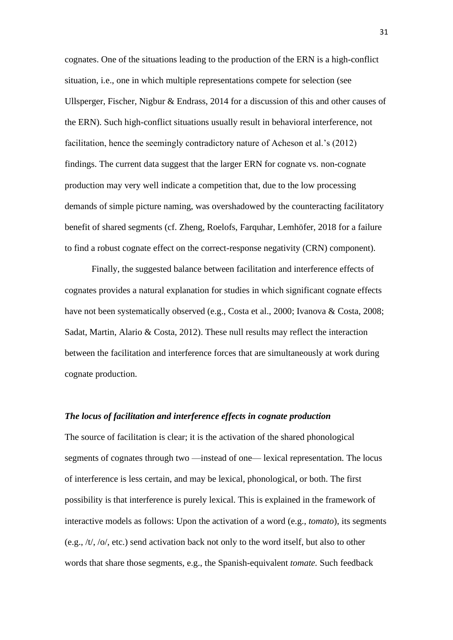cognates. One of the situations leading to the production of the ERN is a high-conflict situation, i.e., one in which multiple representations compete for selection (see Ullsperger, Fischer, Nigbur & Endrass, 2014 for a discussion of this and other causes of the ERN). Such high-conflict situations usually result in behavioral interference, not facilitation, hence the seemingly contradictory nature of Acheson et al.'s (2012) findings. The current data suggest that the larger ERN for cognate vs. non-cognate production may very well indicate a competition that, due to the low processing demands of simple picture naming, was overshadowed by the counteracting facilitatory benefit of shared segments (cf. Zheng, Roelofs, Farquhar, Lemhöfer, 2018 for a failure to find a robust cognate effect on the correct-response negativity (CRN) component).

Finally, the suggested balance between facilitation and interference effects of cognates provides a natural explanation for studies in which significant cognate effects have not been systematically observed (e.g., Costa et al., 2000; Ivanova & Costa, 2008; Sadat, Martin, Alario & Costa, 2012). These null results may reflect the interaction between the facilitation and interference forces that are simultaneously at work during cognate production.

#### *The locus of facilitation and interference effects in cognate production*

The source of facilitation is clear; it is the activation of the shared phonological segments of cognates through two —instead of one— lexical representation. The locus of interference is less certain, and may be lexical, phonological, or both. The first possibility is that interference is purely lexical. This is explained in the framework of interactive models as follows: Upon the activation of a word (e.g., *tomato*), its segments (e.g., /t/, /o/, etc.) send activation back not only to the word itself, but also to other words that share those segments, e.g., the Spanish-equivalent *tomate.* Such feedback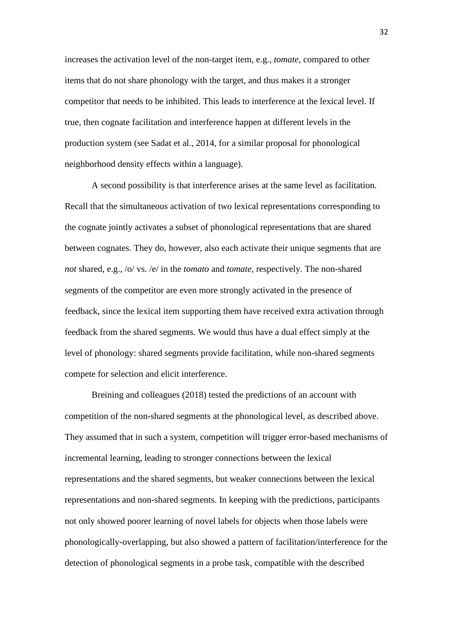increases the activation level of the non-target item, e.g., *tomate*, compared to other items that do not share phonology with the target, and thus makes it a stronger competitor that needs to be inhibited. This leads to interference at the lexical level. If true, then cognate facilitation and interference happen at different levels in the production system (see Sadat et al., 2014, for a similar proposal for phonological neighborhood density effects within a language).

A second possibility is that interference arises at the same level as facilitation. Recall that the simultaneous activation of two lexical representations corresponding to the cognate jointly activates a subset of phonological representations that are shared between cognates. They do, however, also each activate their unique segments that are *not* shared, e.g., /o/ vs. /e/ in the *tomato* and *tomate*, respectively. The non-shared segments of the competitor are even more strongly activated in the presence of feedback, since the lexical item supporting them have received extra activation through feedback from the shared segments. We would thus have a dual effect simply at the level of phonology: shared segments provide facilitation, while non-shared segments compete for selection and elicit interference.

Breining and colleagues (2018) tested the predictions of an account with competition of the non-shared segments at the phonological level, as described above. They assumed that in such a system, competition will trigger error-based mechanisms of incremental learning, leading to stronger connections between the lexical representations and the shared segments, but weaker connections between the lexical representations and non-shared segments. In keeping with the predictions, participants not only showed poorer learning of novel labels for objects when those labels were phonologically-overlapping, but also showed a pattern of facilitation/interference for the detection of phonological segments in a probe task, compatible with the described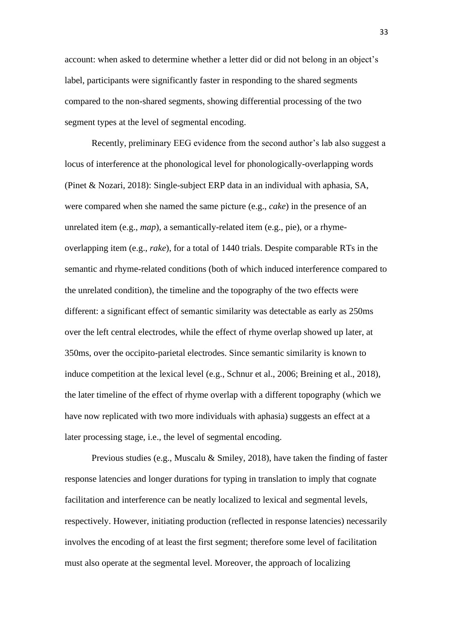account: when asked to determine whether a letter did or did not belong in an object's label, participants were significantly faster in responding to the shared segments compared to the non-shared segments, showing differential processing of the two segment types at the level of segmental encoding.

Recently, preliminary EEG evidence from the second author's lab also suggest a locus of interference at the phonological level for phonologically-overlapping words (Pinet & Nozari, 2018): Single-subject ERP data in an individual with aphasia, SA, were compared when she named the same picture (e.g., *cake*) in the presence of an unrelated item (e.g., *map*), a semantically-related item (e.g., pie), or a rhymeoverlapping item (e.g., *rake*), for a total of 1440 trials. Despite comparable RTs in the semantic and rhyme-related conditions (both of which induced interference compared to the unrelated condition), the timeline and the topography of the two effects were different: a significant effect of semantic similarity was detectable as early as 250ms over the left central electrodes, while the effect of rhyme overlap showed up later, at 350ms, over the occipito-parietal electrodes. Since semantic similarity is known to induce competition at the lexical level (e.g., Schnur et al., 2006; Breining et al., 2018), the later timeline of the effect of rhyme overlap with a different topography (which we have now replicated with two more individuals with aphasia) suggests an effect at a later processing stage, i.e., the level of segmental encoding.

Previous studies (e.g., Muscalu & Smiley, 2018), have taken the finding of faster response latencies and longer durations for typing in translation to imply that cognate facilitation and interference can be neatly localized to lexical and segmental levels, respectively. However, initiating production (reflected in response latencies) necessarily involves the encoding of at least the first segment; therefore some level of facilitation must also operate at the segmental level. Moreover, the approach of localizing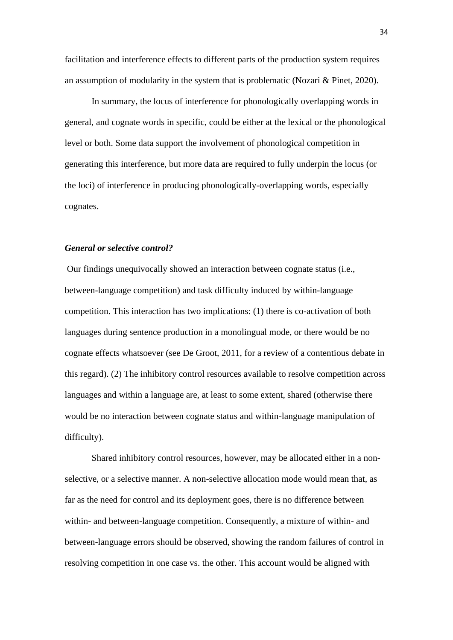facilitation and interference effects to different parts of the production system requires an assumption of modularity in the system that is problematic (Nozari & Pinet, 2020).

In summary, the locus of interference for phonologically overlapping words in general, and cognate words in specific, could be either at the lexical or the phonological level or both. Some data support the involvement of phonological competition in generating this interference, but more data are required to fully underpin the locus (or the loci) of interference in producing phonologically-overlapping words, especially cognates.

# *General or selective control?*

Our findings unequivocally showed an interaction between cognate status (i.e., between-language competition) and task difficulty induced by within-language competition. This interaction has two implications: (1) there is co-activation of both languages during sentence production in a monolingual mode, or there would be no cognate effects whatsoever (see De Groot, 2011, for a review of a contentious debate in this regard). (2) The inhibitory control resources available to resolve competition across languages and within a language are, at least to some extent, shared (otherwise there would be no interaction between cognate status and within-language manipulation of difficulty).

Shared inhibitory control resources, however, may be allocated either in a nonselective, or a selective manner. A non-selective allocation mode would mean that, as far as the need for control and its deployment goes, there is no difference between within- and between-language competition. Consequently, a mixture of within- and between-language errors should be observed, showing the random failures of control in resolving competition in one case vs. the other. This account would be aligned with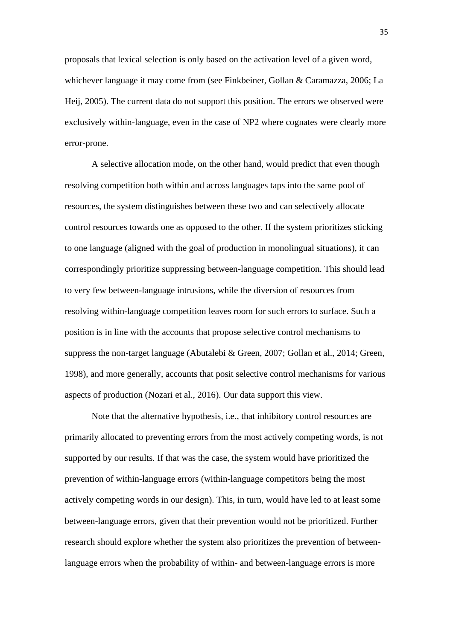proposals that lexical selection is only based on the activation level of a given word, whichever language it may come from (see Finkbeiner, Gollan & Caramazza, 2006; La Heij, 2005). The current data do not support this position. The errors we observed were exclusively within-language, even in the case of NP2 where cognates were clearly more error-prone.

A selective allocation mode, on the other hand, would predict that even though resolving competition both within and across languages taps into the same pool of resources, the system distinguishes between these two and can selectively allocate control resources towards one as opposed to the other. If the system prioritizes sticking to one language (aligned with the goal of production in monolingual situations), it can correspondingly prioritize suppressing between-language competition. This should lead to very few between-language intrusions, while the diversion of resources from resolving within-language competition leaves room for such errors to surface. Such a position is in line with the accounts that propose selective control mechanisms to suppress the non-target language (Abutalebi & Green, 2007; Gollan et al., 2014; Green, 1998), and more generally, accounts that posit selective control mechanisms for various aspects of production (Nozari et al., 2016). Our data support this view.

Note that the alternative hypothesis, i.e., that inhibitory control resources are primarily allocated to preventing errors from the most actively competing words, is not supported by our results. If that was the case, the system would have prioritized the prevention of within-language errors (within-language competitors being the most actively competing words in our design). This, in turn, would have led to at least some between-language errors, given that their prevention would not be prioritized. Further research should explore whether the system also prioritizes the prevention of betweenlanguage errors when the probability of within- and between-language errors is more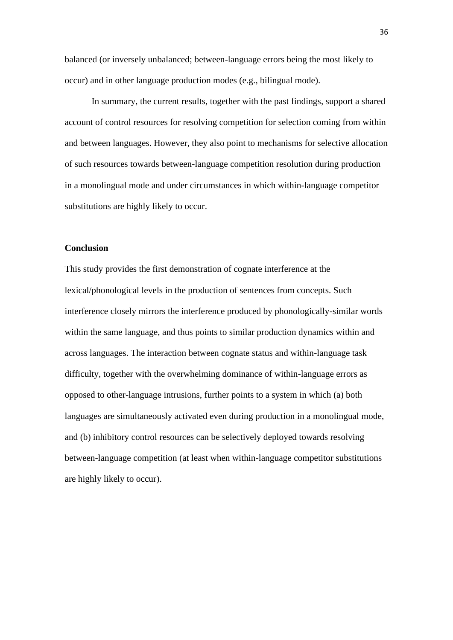balanced (or inversely unbalanced; between-language errors being the most likely to occur) and in other language production modes (e.g., bilingual mode).

In summary, the current results, together with the past findings, support a shared account of control resources for resolving competition for selection coming from within and between languages. However, they also point to mechanisms for selective allocation of such resources towards between-language competition resolution during production in a monolingual mode and under circumstances in which within-language competitor substitutions are highly likely to occur.

# **Conclusion**

This study provides the first demonstration of cognate interference at the lexical/phonological levels in the production of sentences from concepts. Such interference closely mirrors the interference produced by phonologically-similar words within the same language, and thus points to similar production dynamics within and across languages. The interaction between cognate status and within-language task difficulty, together with the overwhelming dominance of within-language errors as opposed to other-language intrusions, further points to a system in which (a) both languages are simultaneously activated even during production in a monolingual mode, and (b) inhibitory control resources can be selectively deployed towards resolving between-language competition (at least when within-language competitor substitutions are highly likely to occur).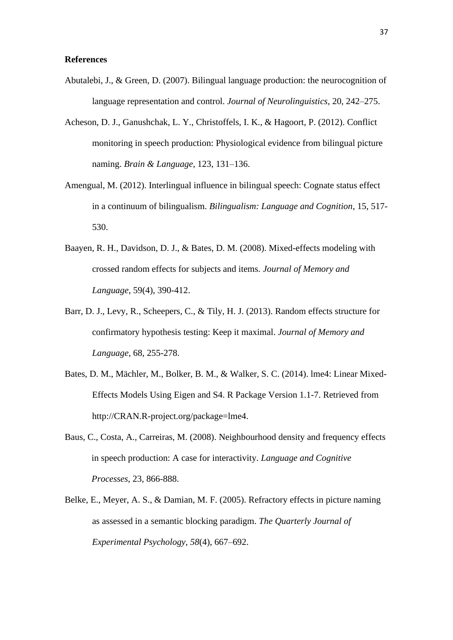## **References**

- Abutalebi, J., & Green, D. (2007). Bilingual language production: the neurocognition of language representation and control. *Journal of Neurolinguistics,* 20, 242–275.
- Acheson, D. J., Ganushchak, L. Y., Christoffels, I. K., & Hagoort, P. (2012). Conflict monitoring in speech production: Physiological evidence from bilingual picture naming. *Brain & Language*, 123, 131–136.
- Amengual, M. (2012). Interlingual influence in bilingual speech: Cognate status effect in a continuum of bilingualism. *Bilingualism: Language and Cognition*, 15, 517- 530.
- Baayen, R. H., Davidson, D. J., & Bates, D. M. (2008). Mixed-effects modeling with crossed random effects for subjects and items. *Journal of Memory and Language*, 59(4), 390-412.
- Barr, D. J., Levy, R., Scheepers, C., & Tily, H. J. (2013). Random effects structure for confirmatory hypothesis testing: Keep it maximal. *Journal of Memory and Language*, 68, 255-278.
- Bates, D. M., Mächler, M., Bolker, B. M., & Walker, S. C. (2014). lme4: Linear Mixed-Effects Models Using Eigen and S4. R Package Version 1.1-7. Retrieved from http://CRAN.R-project.org/package=lme4.
- Baus, C., Costa, A., Carreiras, M. (2008). Neighbourhood density and frequency effects in speech production: A case for interactivity. *Language and Cognitive Processes*, 23, 866-888.
- Belke, E., Meyer, A. S., & Damian, M. F. (2005). Refractory effects in picture naming as assessed in a semantic blocking paradigm. *The Quarterly Journal of Experimental Psychology*, *58*(4), 667–692.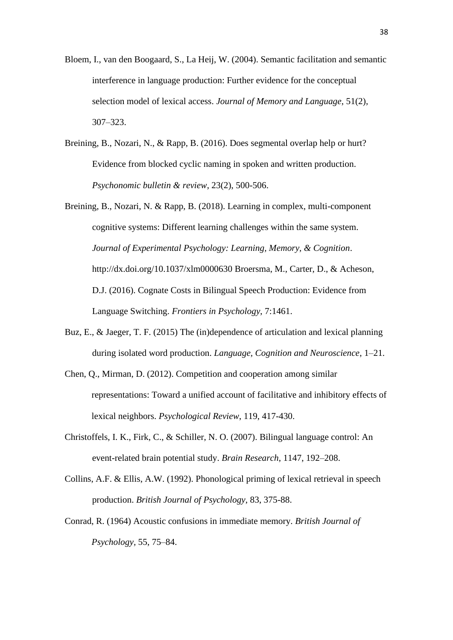- Bloem, I., van den Boogaard, S., La Heij, W. (2004). Semantic facilitation and semantic interference in language production: Further evidence for the conceptual selection model of lexical access. *Journal of Memory and Language*, 51(2), 307–323.
- Breining, B., Nozari, N., & Rapp, B. (2016). Does segmental overlap help or hurt? Evidence from blocked cyclic naming in spoken and written production. *Psychonomic bulletin & review*, 23(2), 500-506.
- Breining, B., Nozari, N. & Rapp, B. (2018). Learning in complex, multi-component cognitive systems: Different learning challenges within the same system. *Journal of Experimental Psychology: Learning, Memory, & Cognition*. http://dx.doi.org/10.1037/xlm0000630 Broersma, M., Carter, D., & Acheson, D.J. (2016). Cognate Costs in Bilingual Speech Production: Evidence from Language Switching. *Frontiers in Psychology*, 7:1461.
- Buz, E., & Jaeger, T. F. (2015) The (in)dependence of articulation and lexical planning during isolated word production. *Language, Cognition and Neuroscience*, 1–21.
- Chen, Q., Mirman, D. (2012). Competition and cooperation among similar representations: Toward a unified account of facilitative and inhibitory effects of lexical neighbors. *Psychological Review*, 119, 417-430.
- Christoffels, I. K., Firk, C., & Schiller, N. O. (2007). Bilingual language control: An event-related brain potential study. *Brain Research*, 1147, 192–208.
- Collins, A.F. & Ellis, A.W. (1992). Phonological priming of lexical retrieval in speech production. *British Journal of Psychology*, 83, 375-88.
- Conrad, R. (1964) Acoustic confusions in immediate memory. *British Journal of Psychology,* 55, 75–84.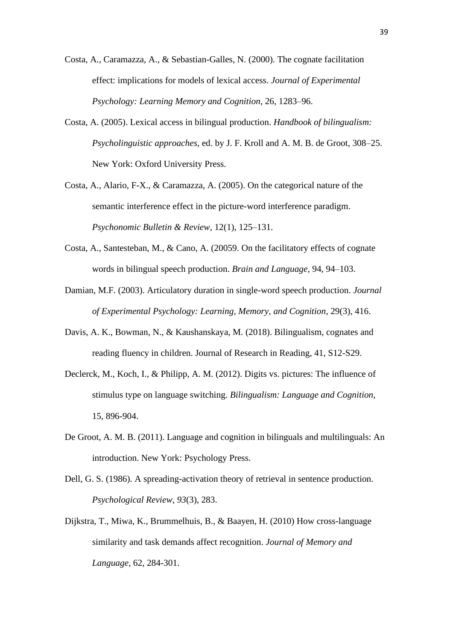- Costa, A., Caramazza, A., & Sebastian-Galles, N. (2000). The cognate facilitation effect: implications for models of lexical access. *Journal of Experimental Psychology: Learning Memory and Cognition,* 26, 1283–96.
- Costa, A. (2005). Lexical access in bilingual production. *Handbook of bilingualism: Psycholinguistic approaches*, ed. by J. F. Kroll and A. M. B. de Groot, 308–25. New York: Oxford University Press.
- Costa, A., Alario, F-X., & Caramazza, A. (2005). On the categorical nature of the semantic interference effect in the picture-word interference paradigm. *Psychonomic Bulletin & Review*, 12(1), 125–131.
- Costa, A., Santesteban, M., & Cano, A. (20059. On the facilitatory effects of cognate words in bilingual speech production. *Brain and Language,* 94, 94–103.
- Damian, M.F. (2003). Articulatory duration in single-word speech production. *Journal of Experimental Psychology: Learning, Memory, and Cognition*, 29(3), 416.
- Davis, A. K., Bowman, N., & Kaushanskaya, M. (2018). Bilingualism, cognates and reading fluency in children. Journal of Research in Reading, 41, S12-S29.
- Declerck, M., Koch, I., & Philipp, A. M. (2012). Digits vs. pictures: The influence of stimulus type on language switching. *Bilingualism: Language and Cognition*, 15, 896-904.
- De Groot, A. M. B. (2011). Language and cognition in bilinguals and multilinguals: An introduction. New York: Psychology Press.
- Dell, G. S. (1986). A spreading-activation theory of retrieval in sentence production. *Psychological Review*, *93*(3), 283.
- Dijkstra, T., Miwa, K., Brummelhuis, B., & Baayen, H. (2010) How cross-language similarity and task demands affect recognition. *Journal of Memory and Language*, 62, 284-301.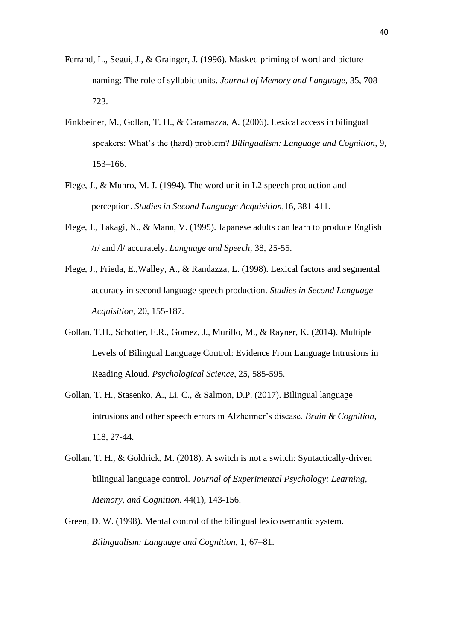- Ferrand, L., Segui, J., & Grainger, J. (1996). Masked priming of word and picture naming: The role of syllabic units. *Journal of Memory and Language*, 35, 708– 723.
- Finkbeiner, M., Gollan, T. H., & Caramazza, A. (2006). Lexical access in bilingual speakers: What's the (hard) problem? *Bilingualism: Language and Cognition*, 9, 153–166.
- Flege, J., & Munro, M. J. (1994). The word unit in L2 speech production and perception. *Studies in Second Language Acquisition,*16, 381-411.
- Flege, J., Takagi, N., & Mann, V. (1995). Japanese adults can learn to produce English /r/ and /l/ accurately. *Language and Speech,* 38, 25-55.
- Flege, J., Frieda, E.,Walley, A., & Randazza, L. (1998). Lexical factors and segmental accuracy in second language speech production. *Studies in Second Language Acquisition,* 20, 155-187.
- Gollan, T.H., Schotter, E.R., Gomez, J., Murillo, M., & Rayner, K. (2014). Multiple Levels of Bilingual Language Control: Evidence From Language Intrusions in Reading Aloud. *Psychological Science*, 25, 585-595.
- Gollan, T. H., Stasenko, A., Li, C., & Salmon, D.P. (2017). Bilingual language intrusions and other speech errors in Alzheimer's disease. *Brain & Cognition*, 118, 27-44.
- Gollan, T. H., & Goldrick, M. (2018). A switch is not a switch: Syntactically-driven bilingual language control. *Journal of Experimental Psychology: Learning, Memory, and Cognition.* 44(1), 143-156.
- Green, D. W. (1998). Mental control of the bilingual lexicosemantic system. *Bilingualism: Language and Cognition*, 1, 67–81.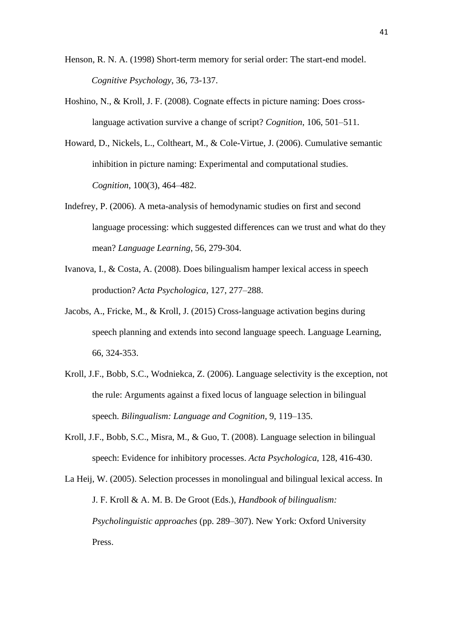- Henson, R. N. A. (1998) Short-term memory for serial order: The start-end model. *Cognitive Psychology*, 36, 73-137.
- Hoshino, N., & Kroll, J. F. (2008). Cognate effects in picture naming: Does crosslanguage activation survive a change of script? *Cognition*, 106, 501–511.
- Howard, D., Nickels, L., Coltheart, M., & Cole-Virtue, J. (2006). Cumulative semantic inhibition in picture naming: Experimental and computational studies. *Cognition*, 100(3), 464–482.
- Indefrey, P. (2006). A meta-analysis of hemodynamic studies on first and second language processing: which suggested differences can we trust and what do they mean? *Language Learning*, 56, 279-304.
- Ivanova, I., & Costa, A. (2008). Does bilingualism hamper lexical access in speech production? *Acta Psychologica*, 127, 277–288.
- Jacobs, A., Fricke, M., & Kroll, J. (2015) Cross-language activation begins during speech planning and extends into second language speech. Language Learning, 66, 324-353.
- Kroll, J.F., Bobb, S.C., Wodniekca, Z. (2006). Language selectivity is the exception, not the rule: Arguments against a fixed locus of language selection in bilingual speech. *Bilingualism: Language and Cognition,* 9, 119–135.
- Kroll, J.F., Bobb, S.C., Misra, M., & Guo, T. (2008). Language selection in bilingual speech: Evidence for inhibitory processes. *Acta Psychologica*, 128, 416-430.
- La Heij, W. (2005). Selection processes in monolingual and bilingual lexical access. In J. F. Kroll & A. M. B. De Groot (Eds.), *Handbook of bilingualism: Psycholinguistic approaches* (pp. 289–307). New York: Oxford University Press.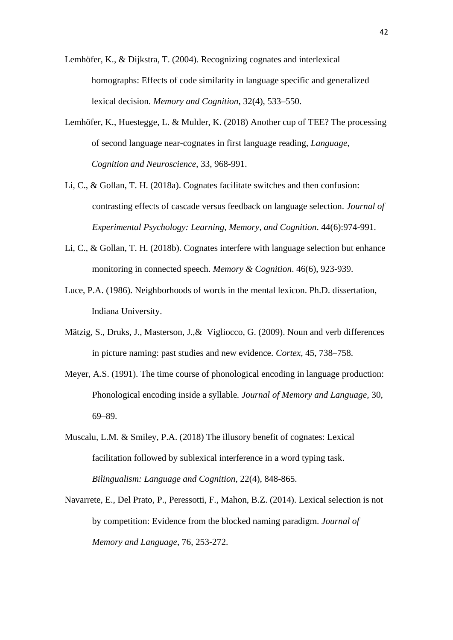Lemhöfer, K., & Dijkstra, T. (2004). Recognizing cognates and interlexical homographs: Effects of code similarity in language specific and generalized lexical decision. *Memory and Cognition*, 32(4), 533–550.

- Lemhöfer, K., Huestegge, L. & Mulder, K. (2018) Another cup of TEE? The processing of second language near-cognates in first language reading, *Language, Cognition and Neuroscience*, 33, 968-991.
- Li, C., & Gollan, T. H. (2018a). Cognates facilitate switches and then confusion: contrasting effects of cascade versus feedback on language selection. *Journal of Experimental Psychology: Learning, Memory, and Cognition*. 44(6):974-991.
- Li, C., & Gollan, T. H. (2018b). Cognates interfere with language selection but enhance monitoring in connected speech. *Memory & Cognition*. 46(6), 923-939.
- Luce, P.A. (1986). Neighborhoods of words in the mental lexicon. Ph.D. dissertation, Indiana University.
- Mätzig, S., Druks, J., Masterson, J.,& Vigliocco, G. (2009). Noun and verb differences in picture naming: past studies and new evidence. *Cortex*, 45, 738–758.
- Meyer, A.S. (1991). The time course of phonological encoding in language production: Phonological encoding inside a syllable*. Journal of Memory and Language,* 30, 69–89.
- Muscalu, L.M. & Smiley, P.A. (2018) The illusory benefit of cognates: Lexical facilitation followed by sublexical interference in a word typing task. *Bilingualism: Language and Cognition*, 22(4), 848-865.
- Navarrete, E., Del Prato, P., Peressotti, F., Mahon, B.Z. (2014). Lexical selection is not by competition: Evidence from the blocked naming paradigm. *Journal of Memory and Language*, 76, 253-272.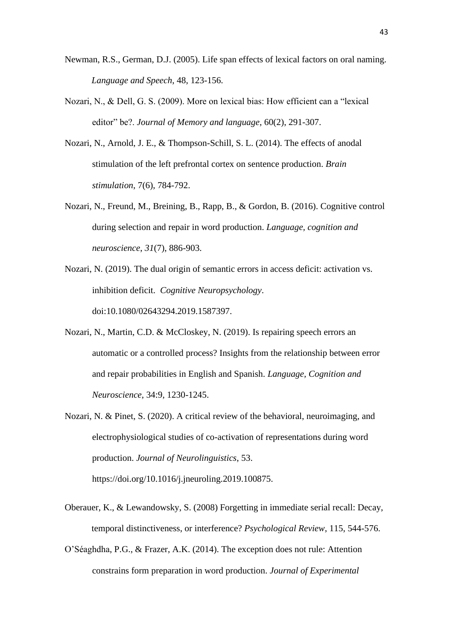- Newman, R.S., German, D.J. (2005). Life span effects of lexical factors on oral naming. *Language and Speech*, 48, 123-156.
- Nozari, N., & Dell, G. S. (2009). More on lexical bias: How efficient can a "lexical editor" be?. *Journal of Memory and language*, 60(2), 291-307.
- Nozari, N., Arnold, J. E., & Thompson-Schill, S. L. (2014). The effects of anodal stimulation of the left prefrontal cortex on sentence production. *Brain stimulation*, 7(6), 784-792.
- Nozari, N., Freund, M., Breining, B., Rapp, B., & Gordon, B. (2016). Cognitive control during selection and repair in word production. *Language, cognition and neuroscience*, *31*(7), 886-903.
- Nozari, N. (2019). The dual origin of semantic errors in access deficit: activation vs. inhibition deficit. *Cognitive Neuropsychology*. doi:10.1080/02643294.2019.1587397.
- Nozari, N., Martin, C.D. & McCloskey, N. (2019). Is repairing speech errors an automatic or a controlled process? Insights from the relationship between error and repair probabilities in English and Spanish. *Language, Cognition and Neuroscience*, 34:9, 1230-1245.
- Nozari, N. & Pinet, S. (2020). A critical review of the behavioral, neuroimaging, and electrophysiological studies of co-activation of representations during word production. *Journal of Neurolinguistics*, 53. [https://doi.org/10.1016/j.jneuroling.2019.100875.](https://doi.org/10.1016/j.jneuroling.2019.100875)
- Oberauer, K., & Lewandowsky, S. (2008) Forgetting in immediate serial recall: Decay, temporal distinctiveness, or interference? *Psychological Review*, 115, 544-576.
- O'Séaghdha, P.G., & Frazer, A.K. (2014). The exception does not rule: Attention constrains form preparation in word production. *Journal of Experimental*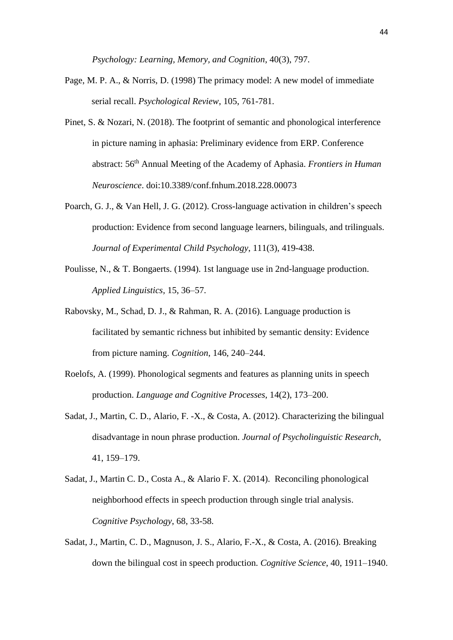*Psychology: Learning, Memory, and Cognition*, 40(3), 797.

- Page, M. P. A., & Norris, D. (1998) The primacy model: A new model of immediate serial recall. *Psychological Review*, 105, 761-781.
- Pinet, S. & Nozari, N. (2018). The footprint of semantic and phonological interference in picture naming in aphasia: Preliminary evidence from ERP. Conference abstract: 56th Annual Meeting of the Academy of Aphasia. *Frontiers in Human Neuroscience*. doi:10.3389/conf.fnhum.2018.228.00073
- Poarch, G. J., & Van Hell, J. G. (2012). Cross-language activation in children's speech production: Evidence from second language learners, bilinguals, and trilinguals. *Journal of Experimental Child Psychology*, 111(3), 419-438.
- Poulisse, N., & T. Bongaerts. (1994). 1st language use in 2nd-language production. *Applied Linguistics,* 15, 36–57.
- Rabovsky, M., Schad, D. J., & Rahman, R. A. (2016). Language production is facilitated by semantic richness but inhibited by semantic density: Evidence from picture naming. *Cognition*, 146, 240–244.
- Roelofs, A. (1999). Phonological segments and features as planning units in speech production. *Language and Cognitive Processes*, 14(2), 173–200.
- Sadat, J., Martin, C. D., Alario, F. -X., & Costa, A. (2012). Characterizing the bilingual disadvantage in noun phrase production. *Journal of Psycholinguistic Research*, 41, 159–179.
- Sadat, J., Martin C. D., Costa A., & Alario F. X. (2014). [Reconciling phonological](http://www.spb.upf.edu/node/493)  [neighborhood effects in speech production through single trial analysis.](http://www.spb.upf.edu/node/493) *Cognitive Psychology*, 68, 33-58.
- Sadat, J., Martin, C. D., Magnuson, J. S., Alario, F.-X., & Costa, A. (2016). Breaking down the bilingual cost in speech production. *Cognitive Science*, 40, 1911–1940.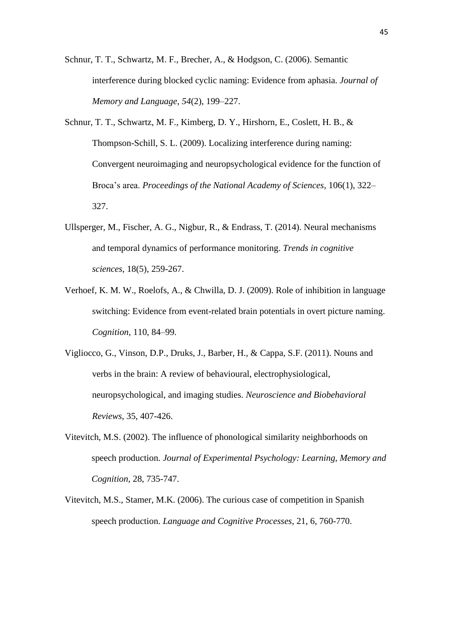Schnur, T. T., Schwartz, M. F., Brecher, A., & Hodgson, C. (2006). Semantic interference during blocked cyclic naming: Evidence from aphasia. *Journal of Memory and Language*, *54*(2), 199–227.

- Schnur, T. T., Schwartz, M. F., Kimberg, D. Y., Hirshorn, E., Coslett, H. B., & Thompson-Schill, S. L. (2009). Localizing interference during naming: Convergent neuroimaging and neuropsychological evidence for the function of Broca's area. *Proceedings of the National Academy of Sciences*, 106(1), 322– 327.
- Ullsperger, M., Fischer, A. G., Nigbur, R., & Endrass, T. (2014). Neural mechanisms and temporal dynamics of performance monitoring. *Trends in cognitive sciences*, 18(5), 259-267.
- Verhoef, K. M. W., Roelofs, A., & Chwilla, D. J. (2009). Role of inhibition in language switching: Evidence from event-related brain potentials in overt picture naming. *Cognition*, 110, 84–99.
- Vigliocco, G., Vinson, D.P., Druks, J., Barber, H., & Cappa, S.F. (2011). Nouns and verbs in the brain: A review of behavioural, electrophysiological, neuropsychological, and imaging studies. *Neuroscience and Biobehavioral Reviews*, 35, 407-426.
- Vitevitch, M.S. (2002). The influence of phonological similarity neighborhoods on speech production. *Journal of Experimental Psychology: Learning, Memory and Cognition*, 28, 735-747.
- Vitevitch, M.S., Stamer, M.K. (2006). The curious case of competition in Spanish speech production. *Language and Cognitive Processes*, 21, 6, 760-770.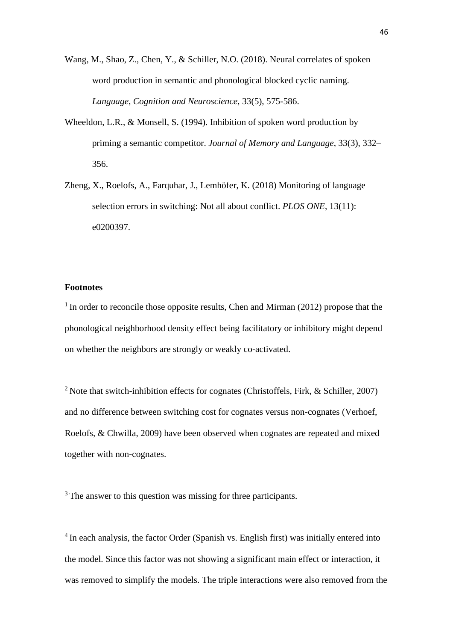Wang, M., Shao, Z., Chen, Y., & Schiller, N.O. (2018). Neural correlates of spoken word production in semantic and phonological blocked cyclic naming. *Language, Cognition and Neuroscience,* 33(5), 575-586.

- Wheeldon, L.R., & Monsell, S. (1994). Inhibition of spoken word production by priming a semantic competitor. *Journal of Memory and Language*, 33(3), 332– 356.
- Zheng, X., Roelofs, A., Farquhar, J., Lemhöfer, K. (2018) Monitoring of language selection errors in switching: Not all about conflict. *PLOS ONE*, 13(11): e0200397.

## **Footnotes**

 $1$  In order to reconcile those opposite results, Chen and Mirman (2012) propose that the phonological neighborhood density effect being facilitatory or inhibitory might depend on whether the neighbors are strongly or weakly co-activated.

<sup>2</sup> Note that switch-inhibition effects for cognates (Christoffels, Firk,  $&$  Schiller, 2007) and no difference between switching cost for cognates versus non-cognates (Verhoef, Roelofs, & Chwilla, 2009) have been observed when cognates are repeated and mixed together with non-cognates.

<sup>3</sup> The answer to this question was missing for three participants.

<sup>4</sup> In each analysis, the factor Order (Spanish vs. English first) was initially entered into the model. Since this factor was not showing a significant main effect or interaction, it was removed to simplify the models. The triple interactions were also removed from the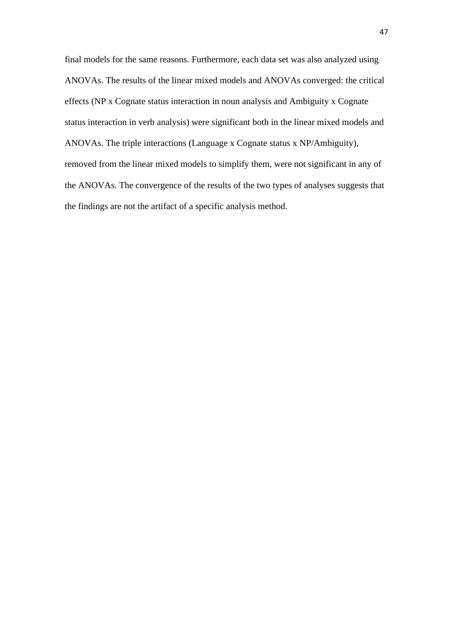final models for the same reasons. Furthermore, each data set was also analyzed using ANOVAs. The results of the linear mixed models and ANOVAs converged: the critical effects (NP x Cognate status interaction in noun analysis and Ambiguity x Cognate status interaction in verb analysis) were significant both in the linear mixed models and ANOVAs. The triple interactions (Language x Cognate status x NP/Ambiguity), removed from the linear mixed models to simplify them, were not significant in any of the ANOVAs. The convergence of the results of the two types of analyses suggests that the findings are not the artifact of a specific analysis method.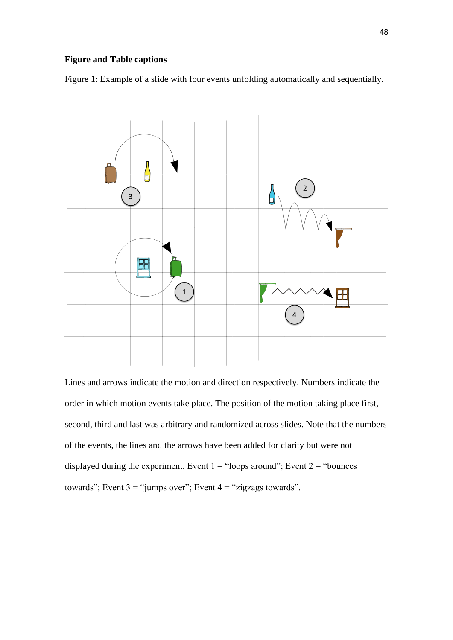# **Figure and Table captions**

Figure 1: Example of a slide with four events unfolding automatically and sequentially.



Lines and arrows indicate the motion and direction respectively. Numbers indicate the order in which motion events take place. The position of the motion taking place first, second, third and last was arbitrary and randomized across slides. Note that the numbers of the events, the lines and the arrows have been added for clarity but were not displayed during the experiment. Event  $1 =$  "loops around"; Event  $2 =$  "bounces" towards"; Event  $3 =$ "jumps over"; Event  $4 =$ "zigzags towards".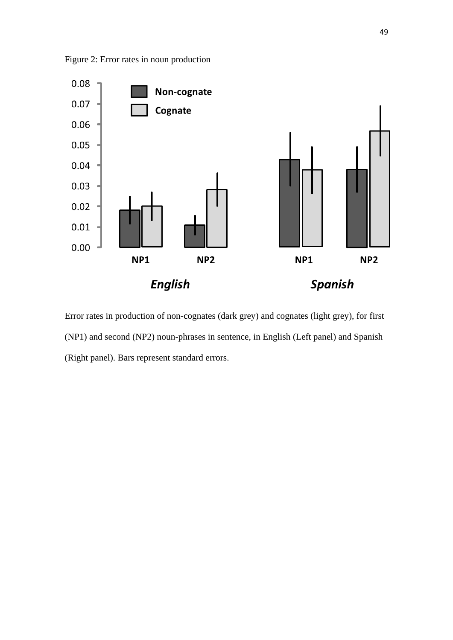



Error rates in production of non-cognates (dark grey) and cognates (light grey), for first (NP1) and second (NP2) noun-phrases in sentence, in English (Left panel) and Spanish (Right panel). Bars represent standard errors.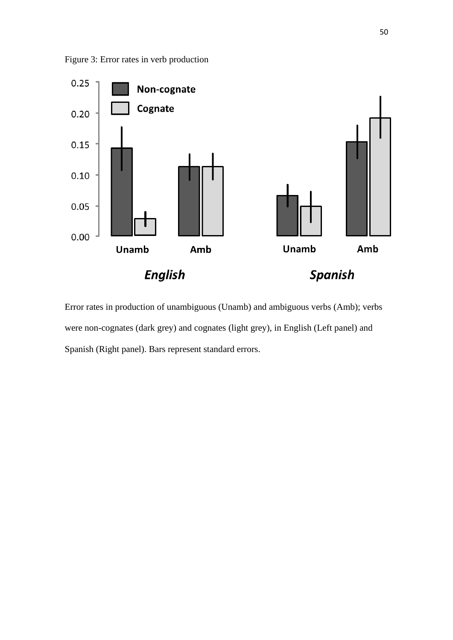



Error rates in production of unambiguous (Unamb) and ambiguous verbs (Amb); verbs were non-cognates (dark grey) and cognates (light grey), in English (Left panel) and Spanish (Right panel). Bars represent standard errors.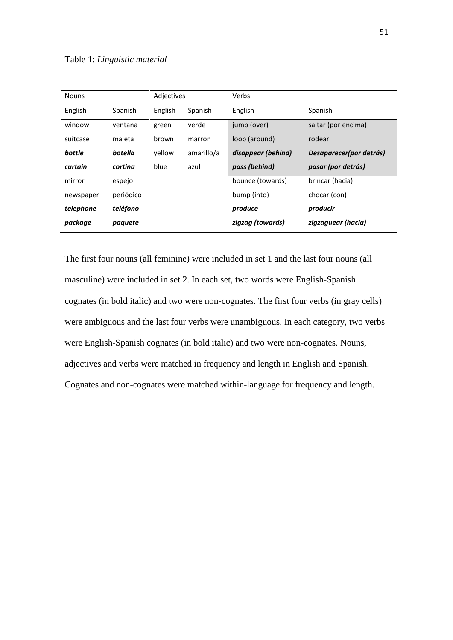| <b>Nouns</b> |           | Adjectives |            | Verbs              |                         |
|--------------|-----------|------------|------------|--------------------|-------------------------|
| English      | Spanish   | English    | Spanish    | English            | Spanish                 |
| window       | ventana   | green      | verde      | jump (over)        | saltar (por encima)     |
| suitcase     | maleta    | brown      | marron     | loop (around)      | rodear                  |
| bottle       | botella   | vellow     | amarillo/a | disappear (behind) | Desaparecer(por detrás) |
| curtain      | cortina   | blue       | azul       | pass (behind)      | pasar (por detrás)      |
| mirror       | espejo    |            |            | bounce (towards)   | brincar (hacia)         |
| newspaper    | periódico |            |            | bump (into)        | chocar (con)            |
| telephone    | teléfono  |            |            | produce            | producir                |
| package      | paquete   |            |            | zigzag (towards)   | zigzaguear (hacia)      |

The first four nouns (all feminine) were included in set 1 and the last four nouns (all masculine) were included in set 2. In each set, two words were English-Spanish cognates (in bold italic) and two were non-cognates. The first four verbs (in gray cells) were ambiguous and the last four verbs were unambiguous. In each category, two verbs were English-Spanish cognates (in bold italic) and two were non-cognates. Nouns, adjectives and verbs were matched in frequency and length in English and Spanish. Cognates and non-cognates were matched within-language for frequency and length.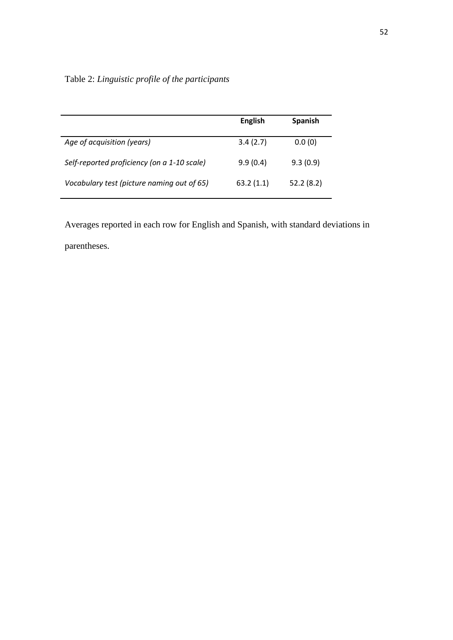|  |  |  |  |  | Table 2: Linguistic profile of the participants |
|--|--|--|--|--|-------------------------------------------------|
|--|--|--|--|--|-------------------------------------------------|

|                                             | <b>English</b> | <b>Spanish</b> |
|---------------------------------------------|----------------|----------------|
| Age of acquisition (years)                  | 3.4(2.7)       | 0.0(0)         |
| Self-reported proficiency (on a 1-10 scale) | 9.9(0.4)       | 9.3(0.9)       |
| Vocabulary test (picture naming out of 65)  | 63.2(1.1)      | 52.2(8.2)      |

Averages reported in each row for English and Spanish, with standard deviations in parentheses.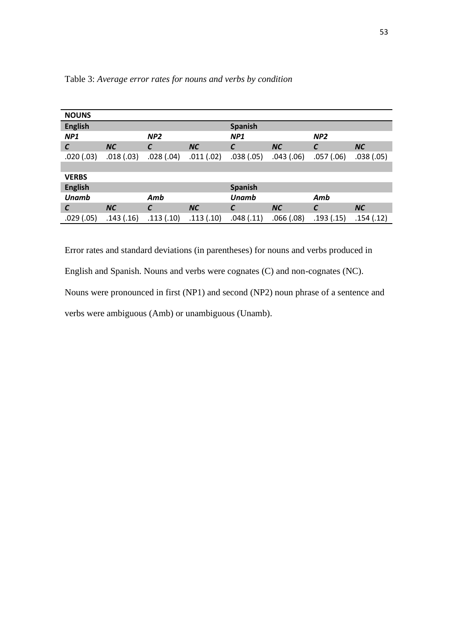| <b>NOUNS</b>    |           |                 |           |                |           |                 |           |
|-----------------|-----------|-----------------|-----------|----------------|-----------|-----------------|-----------|
| <b>English</b>  |           |                 |           | <b>Spanish</b> |           |                 |           |
| NP <sub>1</sub> |           | NP <sub>2</sub> |           | NP1            |           | NP <sub>2</sub> |           |
| $\epsilon$      | <b>NC</b> | $\epsilon$      | <b>NC</b> | C              | <b>NC</b> | $\epsilon$      | <b>NC</b> |
| .020(.03)       | .018(.03) | .028(.04)       | .011(.02) | .038(.05)      | .043(.06) | .057(.06)       | .038(.05) |
|                 |           |                 |           |                |           |                 |           |
| <b>VERBS</b>    |           |                 |           |                |           |                 |           |
| <b>English</b>  |           |                 |           | <b>Spanish</b> |           |                 |           |
| <b>Unamb</b>    |           | Amb             |           | <b>Unamb</b>   |           | Amb             |           |
| $\epsilon$      | <b>NC</b> | $\epsilon$      | <b>NC</b> | C              | <b>NC</b> | $\epsilon$      | <b>NC</b> |
| .029(.05)       | .143(.16) | .113(.10)       | .113(.10) | .048(.11)      | .066(.08) | .193(.15)       | .154(.12) |

Table 3: *Average error rates for nouns and verbs by condition*

Error rates and standard deviations (in parentheses) for nouns and verbs produced in English and Spanish. Nouns and verbs were cognates (C) and non-cognates (NC). Nouns were pronounced in first (NP1) and second (NP2) noun phrase of a sentence and verbs were ambiguous (Amb) or unambiguous (Unamb).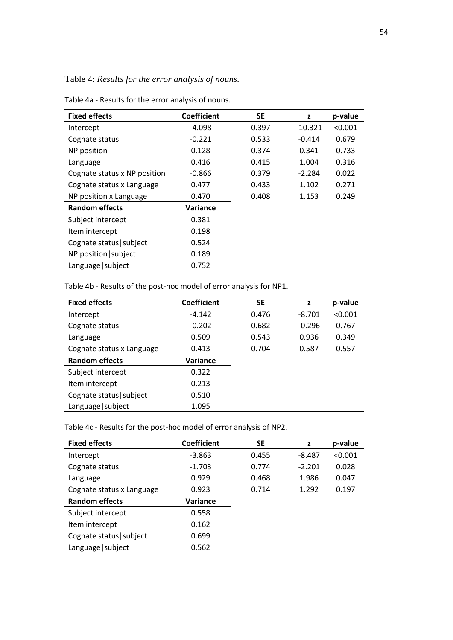Table 4: *Results for the error analysis of nouns.*

| <b>Fixed effects</b>         | <b>Coefficient</b> | <b>SE</b> | z         | p-value |
|------------------------------|--------------------|-----------|-----------|---------|
| Intercept                    | -4.098             | 0.397     | $-10.321$ | < 0.001 |
| Cognate status               | $-0.221$           | 0.533     | $-0.414$  | 0.679   |
| NP position                  | 0.128              | 0.374     | 0.341     | 0.733   |
| Language                     | 0.416              | 0.415     | 1.004     | 0.316   |
| Cognate status x NP position | $-0.866$           | 0.379     | $-2.284$  | 0.022   |
| Cognate status x Language    | 0.477              | 0.433     | 1.102     | 0.271   |
| NP position x Language       | 0.470              | 0.408     | 1.153     | 0.249   |
| <b>Random effects</b>        | Variance           |           |           |         |
| Subject intercept            | 0.381              |           |           |         |
| Item intercept               | 0.198              |           |           |         |
| Cognate status   subject     | 0.524              |           |           |         |
| NP position   subject        | 0.189              |           |           |         |
| Language   subject           | 0.752              |           |           |         |

Table 4a - Results for the error analysis of nouns.

Table 4b - Results of the post-hoc model of error analysis for NP1.

| <b>Fixed effects</b>      | <b>Coefficient</b> | <b>SE</b> | z        | p-value |
|---------------------------|--------------------|-----------|----------|---------|
| Intercept                 | $-4.142$           | 0.476     | $-8.701$ | < 0.001 |
| Cognate status            | $-0.202$           | 0.682     | $-0.296$ | 0.767   |
| Language                  | 0.509              | 0.543     | 0.936    | 0.349   |
| Cognate status x Language | 0.413              | 0.704     | 0.587    | 0.557   |
| <b>Random effects</b>     | Variance           |           |          |         |
| Subject intercept         | 0.322              |           |          |         |
| Item intercept            | 0.213              |           |          |         |
| Cognate status   subject  | 0.510              |           |          |         |
| Language   subject        | 1.095              |           |          |         |

Table 4c - Results for the post-hoc model of error analysis of NP2.

| <b>Fixed effects</b>      | <b>Coefficient</b> | <b>SE</b> | z        | p-value |
|---------------------------|--------------------|-----------|----------|---------|
| Intercept                 | $-3.863$           | 0.455     | $-8.487$ | < 0.001 |
| Cognate status            | $-1.703$           | 0.774     | $-2.201$ | 0.028   |
| Language                  | 0.929              | 0.468     | 1.986    | 0.047   |
| Cognate status x Language | 0.923              | 0.714     | 1.292    | 0.197   |
| <b>Random effects</b>     | Variance           |           |          |         |
| Subject intercept         | 0.558              |           |          |         |
| Item intercept            | 0.162              |           |          |         |
| Cognate status   subject  | 0.699              |           |          |         |
| Language   subject        | 0.562              |           |          |         |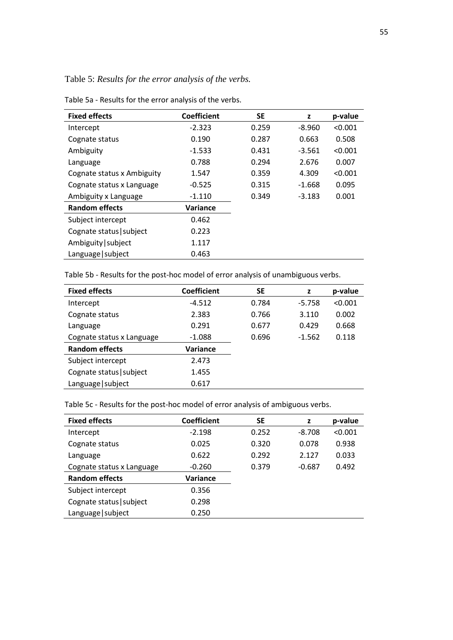Table 5: *Results for the error analysis of the verbs.*

| <b>Fixed effects</b>       | <b>Coefficient</b> | <b>SE</b> | z        | p-value |
|----------------------------|--------------------|-----------|----------|---------|
| Intercept                  | $-2.323$           | 0.259     | $-8.960$ | < 0.001 |
| Cognate status             | 0.190              | 0.287     | 0.663    | 0.508   |
| Ambiguity                  | $-1.533$           | 0.431     | $-3.561$ | < 0.001 |
| Language                   | 0.788              | 0.294     | 2.676    | 0.007   |
| Cognate status x Ambiguity | 1.547              | 0.359     | 4.309    | < 0.001 |
| Cognate status x Language  | $-0.525$           | 0.315     | $-1.668$ | 0.095   |
| Ambiguity x Language       | $-1.110$           | 0.349     | $-3.183$ | 0.001   |
| <b>Random effects</b>      | Variance           |           |          |         |
| Subject intercept          | 0.462              |           |          |         |
| Cognate status   subject   | 0.223              |           |          |         |
| Ambiguity   subject        | 1.117              |           |          |         |
| Language   subject         | 0.463              |           |          |         |

Table 5a - Results for the error analysis of the verbs.

Table 5b - Results for the post-hoc model of error analysis of unambiguous verbs.

| <b>Fixed effects</b>      | <b>Coefficient</b> | <b>SE</b> | z        | p-value |
|---------------------------|--------------------|-----------|----------|---------|
| Intercept                 | $-4.512$           | 0.784     | $-5.758$ | < 0.001 |
| Cognate status            | 2.383              | 0.766     | 3.110    | 0.002   |
| Language                  | 0.291              | 0.677     | 0.429    | 0.668   |
| Cognate status x Language | $-1.088$           | 0.696     | $-1.562$ | 0.118   |
| <b>Random effects</b>     | Variance           |           |          |         |
| Subject intercept         | 2.473              |           |          |         |
| Cognate status   subject  | 1.455              |           |          |         |
| Language   subject        | 0.617              |           |          |         |

Table 5c - Results for the post-hoc model of error analysis of ambiguous verbs.

| <b>Fixed effects</b>      | <b>Coefficient</b> | <b>SE</b> | z        | p-value |
|---------------------------|--------------------|-----------|----------|---------|
| Intercept                 | $-2.198$           | 0.252     | $-8.708$ | < 0.001 |
| Cognate status            | 0.025              | 0.320     | 0.078    | 0.938   |
| Language                  | 0.622              | 0.292     | 2.127    | 0.033   |
| Cognate status x Language | $-0.260$           | 0.379     | $-0.687$ | 0.492   |
| <b>Random effects</b>     | Variance           |           |          |         |
| Subject intercept         | 0.356              |           |          |         |
| Cognate status   subject  | 0.298              |           |          |         |
| Language   subject        | 0.250              |           |          |         |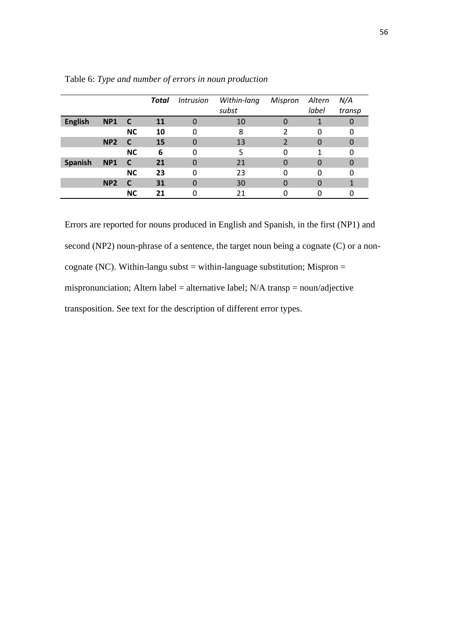|                |                 |           | Total     | <i><b>Intrusion</b></i> | Within-lang | Mispron                  | Altern   | N/A    |
|----------------|-----------------|-----------|-----------|-------------------------|-------------|--------------------------|----------|--------|
|                |                 |           |           |                         | subst       |                          | label    | transp |
| <b>English</b> | NP <sub>1</sub> | <b>C</b>  | <b>11</b> | 0                       | 10          | 0                        |          | O      |
|                |                 | <b>NC</b> | 10        | 0                       | 8           | 2                        | 0        | 0      |
|                | NP <sub>2</sub> | C         | 15        | 0                       | 13          | $\overline{\phantom{a}}$ | 0        | 0      |
|                |                 | <b>NC</b> | 6         | 0                       | 5           | 0                        | 1        | 0      |
| Spanish        | <b>NP1</b>      | C         | 21        | $\Omega$                | 21          | 0                        | 0        | 0      |
|                |                 | <b>NC</b> | 23        | 0                       | 23          | 0                        | 0        | 0      |
|                | NP <sub>2</sub> | C         | 31        | $\mathbf 0$             | 30          | 0                        | $\Omega$ |        |
|                |                 | <b>NC</b> | 21        | 0                       | 21          | 0                        |          | 0      |

Table 6: *Type and number of errors in noun production*

Errors are reported for nouns produced in English and Spanish, in the first (NP1) and second (NP2) noun-phrase of a sentence, the target noun being a cognate (C) or a noncognate (NC). Within-langu subst = within-language substitution; Mispron = mispronunciation; Altern label = alternative label;  $N/A$  transp = noun/adjective transposition. See text for the description of different error types.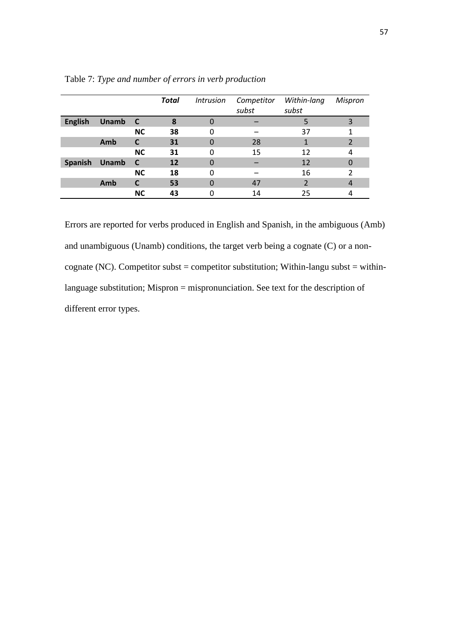|                |              |           | <b>Total</b> | <i><b>Intrusion</b></i> | Competitor | Within-lang | Mispron       |
|----------------|--------------|-----------|--------------|-------------------------|------------|-------------|---------------|
|                |              |           |              |                         | subst      | subst       |               |
| <b>English</b> | <b>Unamb</b> | <b>C</b>  | 8            | 0                       |            |             | 3             |
|                |              | <b>NC</b> | 38           | 0                       |            | 37          |               |
|                | Amb          | C         | 31           | 0                       | 28         |             | 2             |
|                |              | <b>NC</b> | 31           | 0                       | 15         | 12          | 4             |
| <b>Spanish</b> | <b>Unamb</b> | <b>C</b>  | 12           | $\Omega$                |            | 12          | 0             |
|                |              | <b>NC</b> | 18           | 0                       |            | 16          | $\mathcal{P}$ |
|                | Amb          |           | 53           | 0                       | 47         |             | 4             |
|                |              | <b>NC</b> | 43           |                         | 14         | 25          |               |

Table 7: *Type and number of errors in verb production*

Errors are reported for verbs produced in English and Spanish, in the ambiguous (Amb) and unambiguous (Unamb) conditions, the target verb being a cognate (C) or a noncognate (NC). Competitor subst = competitor substitution; Within-langu subst = withinlanguage substitution; Mispron = mispronunciation. See text for the description of different error types.